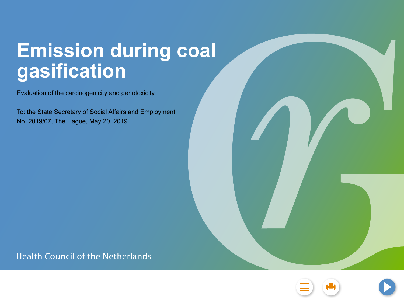## **Emission during coal gasification**

Evaluation of the carcinogenicity and genotoxicity

To: the State Secretary of Social Affairs and Employment No. 2019/07, The Hague, May 20, 2019

**Health Council of the Netherlands** 

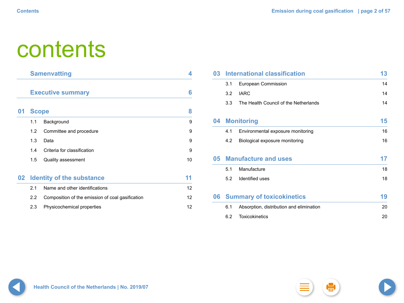# contents

|                 | <b>Samenvatting</b> |                                                  |                 |  |
|-----------------|---------------------|--------------------------------------------------|-----------------|--|
|                 |                     | <b>Executive summary</b>                         | 6               |  |
| $\mathbf{0}$ 1  | <b>Scope</b>        |                                                  | 8               |  |
|                 | 1.1                 | Background                                       | 9               |  |
|                 | 1.2                 | Committee and procedure                          | 9               |  |
|                 | 1.3                 | Data                                             | 9               |  |
|                 | 1.4                 | Criteria for classification                      | 9               |  |
|                 | 1.5                 | <b>Quality assessment</b>                        | 10              |  |
| 02 <sub>2</sub> |                     | <b>Identity of the substance</b>                 | 11              |  |
|                 | 2.1                 | Name and other identifications                   | 12 <sup>2</sup> |  |
|                 | $2.2\phantom{0}$    | Composition of the emission of coal gasification | 12              |  |

2.3 [Physicochemical properties](#page-11-0) 12

| 03 |     | <b>International classification</b>      | 13 |
|----|-----|------------------------------------------|----|
|    | 3.1 | <b>European Commission</b>               | 14 |
|    | 3.2 | <b>IARC</b>                              | 14 |
|    | 3.3 | The Health Council of the Netherlands    | 14 |
| 04 |     | <b>Monitoring</b>                        | 15 |
|    | 4.1 | Environmental exposure monitoring        | 16 |
|    | 4.2 | Biological exposure monitoring           | 16 |
| 05 |     | <b>Manufacture and uses</b>              | 17 |
|    | 5.1 | Manufacture                              | 18 |
|    | 5.2 | Identified uses                          | 18 |
| 06 |     | <b>Summary of toxicokinetics</b>         | 19 |
|    | 6.1 | Absorption, distribution and elimination | 20 |
|    | 6.2 | <b>Toxicokinetics</b>                    | 20 |

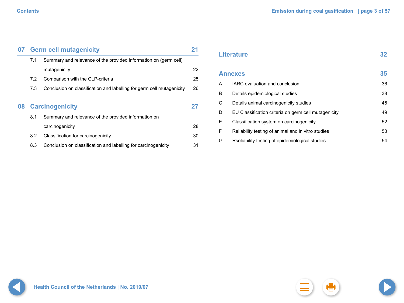|    | 07 Germ cell mutagenicity |                                                                       |    |  |  |
|----|---------------------------|-----------------------------------------------------------------------|----|--|--|
|    | 7.1                       | Summary and relevance of the provided information on (germ cell)      |    |  |  |
|    |                           | mutagenicity                                                          | 22 |  |  |
|    | 7.2                       | Comparison with the CLP-criteria                                      | 25 |  |  |
|    | 7.3                       | Conclusion on classification and labelling for germ cell mutagenicity | 26 |  |  |
|    |                           |                                                                       |    |  |  |
| 80 |                           | <b>Carcinogenicity</b>                                                | 27 |  |  |
|    | 8.1                       | Summary and relevance of the provided information on                  |    |  |  |
|    |                           | carcinogenicity                                                       | 28 |  |  |
|    | 8.2                       | <b>Classification for carcinogenicity</b>                             | 30 |  |  |
|    | 8.3                       | Conclusion on classification and labelling for carcinogenicity        | 31 |  |  |

|   | <b>Literature</b>                                    | 32 |
|---|------------------------------------------------------|----|
|   | <b>Annexes</b>                                       | 35 |
| A | <b>IARC</b> evaluation and conclusion                | 36 |
| B | Details epidemiological studies                      | 38 |
| C | Details animal carcinogenicity studies               | 45 |
| D | EU Classification criteria on germ cell mutagenicity | 49 |
| Е | Classification system on carcinogenicity             | 52 |
| F | Reliability testing of animal and in vitro studies   | 53 |
| G | Rseliability testing of epidemiological studies      | 54 |

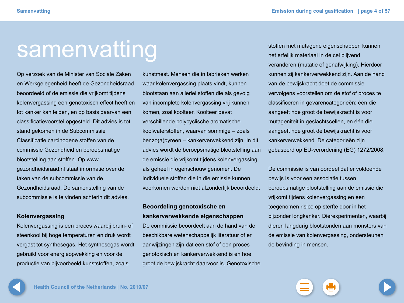# <span id="page-3-0"></span>samenvatting

Op verzoek van de Minister van Sociale Zaken en Werkgelegenheid heeft de Gezondheidsraad beoordeeld of de emissie die vrijkomt tijdens kolenvergassing een genotoxisch effect heeft en tot kanker kan leiden, en op basis daarvan een classificatievoorstel opgesteld. Dit advies is tot stand gekomen in de Subcommissie Classificatie carcinogene stoffen van de commissie Gezondheid en beroepsmatige blootstelling aan stoffen. Op www. gezondheidsraad.nl staat informatie over de taken van de subcommissie van de Gezondheidsraad. De samenstelling van de subcommissie is te vinden achterin dit advies.

### **Kolenvergassing**

Kolenvergassing is een proces waarbij bruin- of steenkool bij hoge temperaturen en druk wordt vergast tot synthesegas. Het synthesegas wordt gebruikt voor energieopwekking en voor de productie van bijvoorbeeld kunststoffen, zoals

kunstmest. Mensen die in fabrieken werken waar kolenvergassing plaats vindt, kunnen blootstaan aan allerlei stoffen die als gevolg van incomplete kolenvergassing vrij kunnen komen, zoal koolteer. Koolteer bevat verschillende polycyclische aromatische koolwaterstoffen, waarvan sommige – zoals benzo(a)pyreen – kankerverwekkend zijn. In dit advies wordt de beroepsmatige blootstelling aan de emissie die vrijkomt tijdens kolenvergassing als geheel in ogenschouw genomen. De individuele stoffen die in die emissie kunnen voorkomen worden niet afzonderlijk beoordeeld.

### **Beoordeling genotoxische en kankerverwekkende eigenschappen**

De commissie beoordeelt aan de hand van de beschikbare wetenschappelijk literatuur of er aanwijzingen zijn dat een stof of een proces genotoxisch en kankerverwekkend is en hoe groot de bewijskracht daarvoor is. Genotoxische stoffen met mutagene eigenschappen kunnen het erfelijk materiaal in de cel blijvend veranderen (mutatie of genafwijking). Hierdoor kunnen zij kankerverwekkend zijn. Aan de hand van de bewijskracht doet de commissie vervolgens voorstellen om de stof of proces te classificeren in gevarencategorieën: één die aangeeft hoe groot de bewijskracht is voor mutageniteit in geslachtscellen, en één die aangeeft hoe groot de bewijskracht is voor kankerverwekkend. De categorieën zijn gebaseerd op EU-verordening (EG) 1272/2008.

De commissie is van oordeel dat er voldoende bewijs is voor een associatie tussen beroepsmatige blootstelling aan de emissie die vrijkomt tijdens kolenvergassing en een toegenomen risico op sterfte door in het bijzonder longkanker. Dierexperimenten, waarbij dieren langdurig blootstonden aan monsters van de emissie van kolenvergassing, ondersteunen de bevinding in mensen.

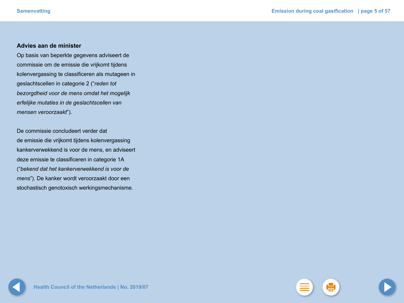### **Advies aan de minister**

Op basis van beperkte gegevens adviseert de commissie om de emissie die vrijkomt tijdens kolenvergassing te classificeren als mutageen in geslachtscellen in categorie 2 ("*reden tot bezorgdheid voor de mens omdat het mogelijk erfelijke mutaties in de geslachtscellen van mensen veroorzaakt*").

De commissie concludeert verder dat de emissie die vrijkomt tijdens kolenvergassing kankerverwekkend is voor de mens, en adviseert deze emissie te classificeren in categorie 1A ("*bekend dat het kankerverwekkend is voor de mens*"). De kanker wordt veroorzaakt door een stochastisch genotoxisch werkingsmechanisme.

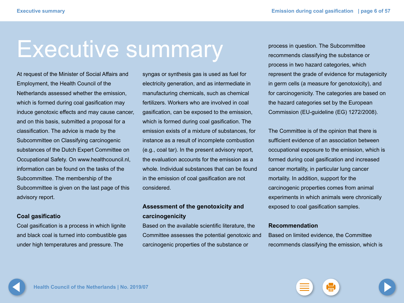# <span id="page-5-0"></span>Executive summary

At request of the Minister of Social Affairs and Employment, the Health Council of the Netherlands assessed whether the emission, which is formed during coal gasification may induce genotoxic effects and may cause cancer, and on this basis, submitted a proposal for a classification. The advice is made by the Subcommittee on Classifying carcinogenic substances of the Dutch Expert Committee on Occupational Safety. On www.healthcouncil.nl, information can be found on the tasks of the Subcommittee. The membership of the Subcommittee is given on the last page of this advisory report.

### **Coal gasificatio**

Coal gasification is a process in which lignite and black coal is turned into combustible gas under high temperatures and pressure. The

syngas or synthesis gas is used as fuel for electricity generation, and as intermediate in manufacturing chemicals, such as chemical fertilizers. Workers who are involved in coal gasification, can be exposed to the emission, which is formed during coal gasification. The emission exists of a mixture of substances, for instance as a result of incomplete combustion (e.g., coal tar). In the present advisory report, the evaluation accounts for the emission as a whole. Individual substances that can be found in the emission of coal gasification are not considered.

## **Assessment of the genotoxicity and carcinogenicity**

Based on the available scientific literature, the Committee assesses the potential genotoxic and carcinogenic properties of the substance or

process in question. The Subcommittee recommends classifying the substance or process in two hazard categories, which represent the grade of evidence for mutagenicity in germ cells (a measure for genotoxicity), and for carcinogenicity. The categories are based on the hazard categories set by the European Commission (EU-guideline (EG) 1272/2008).

The Committee is of the opinion that there is sufficient evidence of an association between occupational exposure to the emission, which is formed during coal gasification and increased cancer mortality, in particular lung cancer mortality. In addition, support for the carcinogenic properties comes from animal experiments in which animals were chronically exposed to coal gasification samples.

### **Recommendation**

Based on limited evidence, the Committee recommends classifying the emission, which is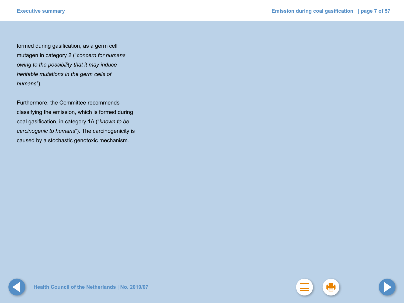formed during gasification, as a germ cell mutagen in category 2 ("*concern for humans owing to the possibility that it may induce heritable mutations in the germ cells of humans*").

Furthermore, the Committee recommends classifying the emission, which is formed during coal gasification, in category 1A ("*known to be carcinogenic to humans*"). The carcinogenicity is caused by a stochastic genotoxic mechanism.

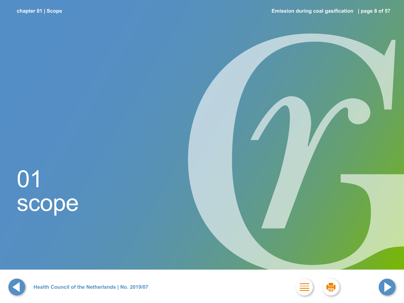# <span id="page-7-0"></span>01 scope





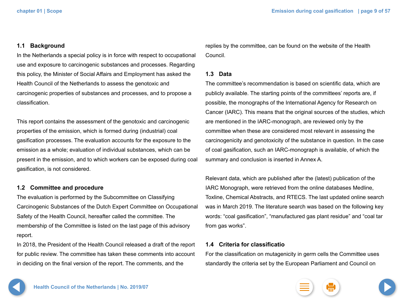### <span id="page-8-0"></span>**1.1 Background**

In the Netherlands a special policy is in force with respect to occupational use and exposure to carcinogenic substances and processes. Regarding this policy, the Minister of Social Affairs and Employment has asked the Health Council of the Netherlands to assess the genotoxic and carcinogenic properties of substances and processes, and to propose a classification.

This report contains the assessment of the genotoxic and carcinogenic properties of the emission, which is formed during (industrial) coal gasification processes. The evaluation accounts for the exposure to the emission as a whole; evaluation of individual substances, which can be present in the emission, and to which workers can be exposed during coal gasification, is not considered.

### **1.2 Committee and procedure**

The evaluation is performed by the Subcommittee on Classifying Carcinogenic Substances of the Dutch Expert Committee on Occupational Safety of the Health Council, hereafter called the committee. The membership of the Committee is listed on the last page of this advisory report.

In 2018, the President of the Health Council released a draft of the report for public review. The committee has taken these comments into account in deciding on the final version of the report. The comments, and the

replies by the committee, can be found on the website of the Health Council.

### **1.3 Data**

The committee's recommendation is based on scientific data, which are publicly available. The starting points of the committees' reports are, if possible, the monographs of the International Agency for Research on Cancer (IARC). This means that the original sources of the studies, which are mentioned in the IARC-monograph, are reviewed only by the committee when these are considered most relevant in assessing the carcinogenicity and genotoxicity of the substance in question. In the case of coal gasification, such an IARC-monograph is available, of which the summary and conclusion is inserted in Annex A.

Relevant data, which are published after the (latest) publication of the IARC Monograph, were retrieved from the online databases Medline, Toxline, Chemical Abstracts, and RTECS. The last updated online search was in March 2019. The literature search was based on the following key words: "coal gasification", "manufactured gas plant residue" and "coal tar from gas works".

### **1.4 Criteria for classificatio**

For the classification on mutagenicity in germ cells the Committee uses standardly the criteria set by the European Parliament and Council on

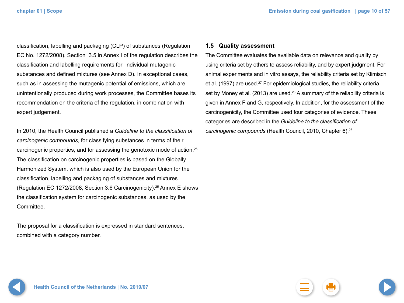<span id="page-9-0"></span>classification, labelling and packaging (CLP) of substances (Regulation EC No. 1272/2008). Section 3.5 in Annex I of the regulation describes the classification and labelling requirements for individual mutagenic substances and defined mixtures (see Annex D). In exceptional cases, such as in assessing the mutagenic potential of emissions, which are unintentionally produced during work processes, the Committee bases its recommendation on the criteria of the regulation, in combination with expert judgement.

In 2010, the Health Council published a *Guideline to the classification of carcinogenic compounds*, for classifying substances in terms of their carcinogenic properties, and for assessing the genotoxic mode of action.26 The classification on carcinogenic properties is based on the Globally Harmonized System, which is also used by the European Union for the classification, labelling and packaging of substances and mixtures (Regulation EC 1272/2008, Section 3.6 Carcinogenicity).25 Annex E shows the classification system for carcinogenic substances, as used by the Committee.

The proposal for a classification is expressed in standard sentences, combined with a category number.

### **1.5 Quality assessment**

The Committee evaluates the available data on relevance and quality by using criteria set by others to assess reliability, and by expert judgment. For animal experiments and in vitro assays, the reliability criteria set by Klimisch et al. (1997) are used.<sup>27</sup> For epidemiological studies, the reliability criteria set by Money et al. (2013) are used.<sup>28</sup> A summary of the reliability criteria is given in Annex F and G, respectively. In addition, for the assessment of the carcinogenicity, the Committee used four categories of evidence. These categories are described in the *Guideline to the classification of carcinogenic compounds* (Health Council, 2010, Chapter 6).26

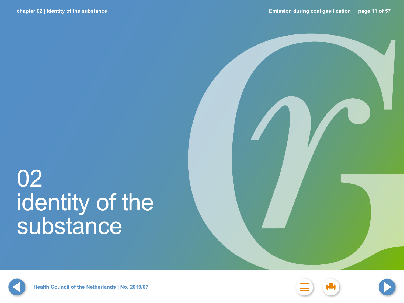# <span id="page-10-0"></span>02 identity of the substance







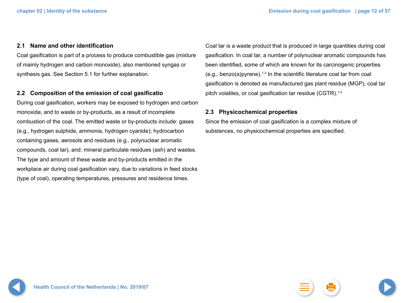### <span id="page-11-0"></span>**2.1 Name and other identification**

Coal gasification is part of a process to produce combustible gas (mixture of mainly hydrogen and carbon monoxide), also mentioned syngas or synthesis gas. See Section 5.1 for further explanation.

### **2.2 Composition of the emission of coal gasificatio**

During coal gasification, workers may be exposed to hydrogen and carbon monoxide, and to waste or by-products, as a result of incomplete combustion of the coal. The emitted waste or by-products include: gases (e.g., hydrogen sulphide, ammonia, hydrogen cyanide); hydrocarbon containing gases, aerosols and residues (e.g., polynuclear aromatic compounds, coal tar), and: mineral particulate residues (ash) and wastes. The type and amount of these waste and by-products emitted in the workplace air during coal gasification vary, due to variations in feed stocks (type of coal), operating temperatures, pressures and residence times.

Coal tar is a waste product that is produced in large quantities during coal gasification. In coal tar, a number of polynuclear aromatic compounds has been identified, some of which are known for its carcinogenic properties (e.g., benzo(a) pyrene).<sup>1-3</sup> In the scientific literature coal tar from coal gasification is denoted as manufactured gas plant residue (MGP), coal tar pitch volatiles, or coal gasification tar residue  $(GGTR)$ .<sup>1-3</sup>

### **2.3 Physicochemical properties**

Since the emission of coal gasification is a complex mixture of substances, no physicochemical properties are specified.

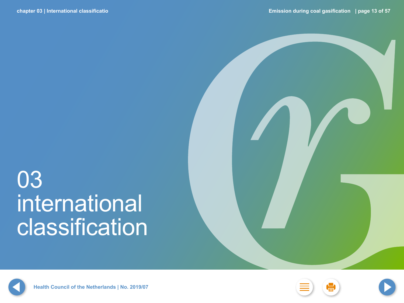# <span id="page-12-0"></span>03 international classification



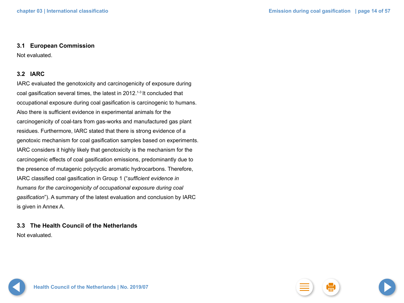### <span id="page-13-0"></span>**3.1 European Commission**

Not evaluated.

### **3.2 IARC**

IARC evaluated the genotoxicity and carcinogenicity of exposure during coal gasification several times, the latest in 2012.1-3 It concluded that occupational exposure during coal gasification is carcinogenic to humans. Also there is sufficient evidence in experimental animals for the carcinogenicity of coal-tars from gas-works and manufactured gas plant residues. Furthermore, IARC stated that there is strong evidence of a genotoxic mechanism for coal gasification samples based on experiments. IARC considers it highly likely that genotoxicity is the mechanism for the carcinogenic effects of coal gasification emissions, predominantly due to the presence of mutagenic polycyclic aromatic hydrocarbons. Therefore, IARC classified coal gasification in Group 1 ("*sufficient evidence in humans for the carcinogenicity of occupational exposure during coal gasification*"). A summary of the latest evaluation and conclusion by IARC is given in Annex A.

**3.3 The Health Council of the Netherlands** Not evaluated.

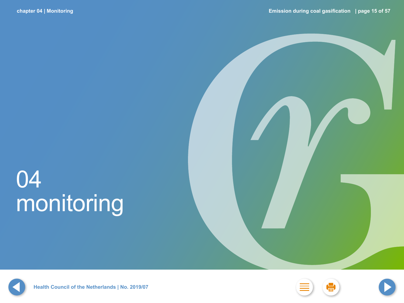# <span id="page-14-0"></span>04 monitoring







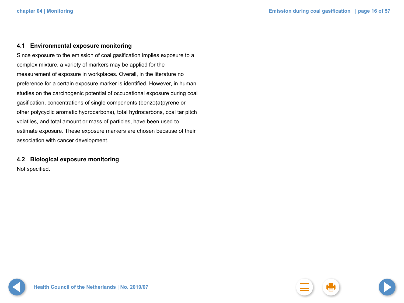### <span id="page-15-0"></span>**4.1 Environmental exposure monitoring**

Since exposure to the emission of coal gasification implies exposure to a complex mixture, a variety of markers may be applied for the measurement of exposure in workplaces. Overall, in the literature no preference for a certain exposure marker is identified. However, in human studies on the carcinogenic potential of occupational exposure during coal gasification, concentrations of single components (benzo(a)pyrene or other polycyclic aromatic hydrocarbons), total hydrocarbons, coal tar pitch volatiles, and total amount or mass of particles, have been used to estimate exposure. These exposure markers are chosen because of their association with cancer development.

## **4.2 Biological exposure monitoring**

Not specified.

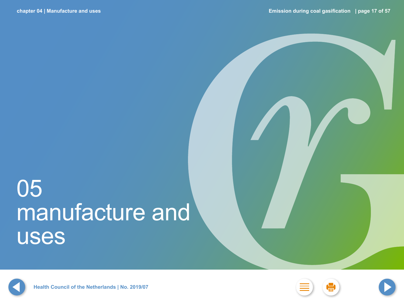# <span id="page-16-0"></span>05 manufacture and uses







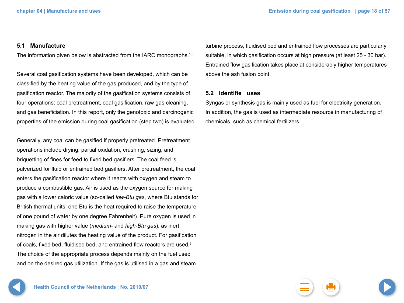### <span id="page-17-0"></span>**5.1 Manufacture**

The information given below is abstracted from the IARC monographs.<sup>1,3</sup>

Several coal gasification systems have been developed, which can be classified by the heating value of the gas produced, and by the type of gasification reactor. The majority of the gasification systems consists of four operations: coal pretreatment, coal gasification, raw gas cleaning, and gas beneficiation. In this report, only the genotoxic and carcinogenic properties of the emission during coal gasification (step two) is evaluated.

Generally, any coal can be gasified if properly pretreated. Pretreatment operations include drying, partial oxidation, crushing, sizing, and briquetting of fines for feed to fixed bed gasifiers. The coal feed is pulverized for fluid or entrained bed gasifiers. After pretreatment, the coal enters the gasification reactor where it reacts with oxygen and steam to produce a combustible gas. Air is used as the oxygen source for making gas with a lower caloric value (so-called *low-Btu gas*, where Btu stands for British thermal units; one Btu is the heat required to raise the temperature of one pound of water by one degree Fahrenheit). Pure oxygen is used in making gas with higher value (*medium-* and *high-Btu gas*), as inert nitrogen in the air dilutes the heating value of the product. For gasification of coals, fixed bed, fluidised bed, and entrained flow reactors are used.<sup>3</sup> The choice of the appropriate process depends mainly on the fuel used and on the desired gas utilization. If the gas is utilised in a gas and steam

turbine process, fluidised bed and entrained flow processes are particularly suitable, in which gasification occurs at high pressure (at least 25 - 30 bar). Entrained flow gasification takes place at considerably higher temperatures above the ash fusion point.

### **5.2 Identifie uses**

Syngas or synthesis gas is mainly used as fuel for electricity generation. In addition, the gas is used as intermediate resource in manufacturing of chemicals, such as chemical fertilizers.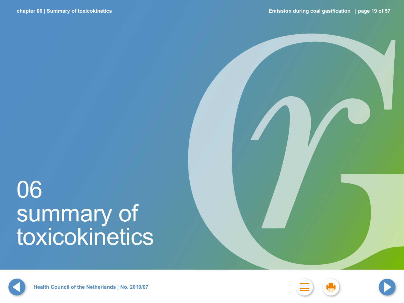# <span id="page-18-0"></span>06 summary of toxicokinetics







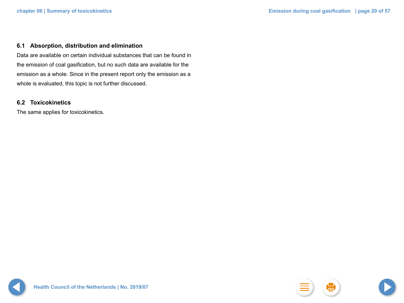### <span id="page-19-0"></span>**6.1 Absorption, distribution and elimination**

Data are available on certain individual substances that can be found in the emission of coal gasification, but no such data are available for the emission as a whole. Since in the present report only the emission as a whole is evaluated, this topic is not further discussed.

### **6.2 Toxicokinetics**

The same applies for toxicokinetics.

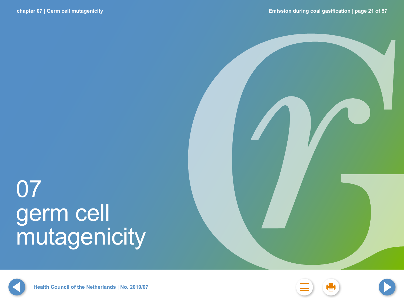# <span id="page-20-0"></span>07 germ cell mutagenicity





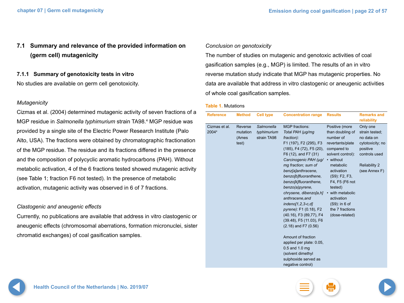## <span id="page-21-0"></span>**7.1 Summary and relevance of the provided information on (germ cell) mutagenicity**

**7.1.1 Summary of genotoxicity tests in vitro** No studies are available on germ cell genotoxicity.

### *Mutagenicity*

Cizmas et al. (2004) determined mutagenic activity of seven fractions of a MGP residue in *Salmonella typhimurium* strain TA98.4 MGP residue was provided by a single site of the Electric Power Research Institute (Palo Alto, USA). The fractions were obtained by chromatographic fractionation of the MGP residue. The residue and its fractions differed in the presence and the composition of polycyclic aromatic hydrocarbons (PAH). Without metabolic activation, 4 of the 6 fractions tested showed mutagenic activity (see Table 1; fraction F6 not tested). In the presence of metabolic activation, mutagenic activity was observed in 6 of 7 fractions.

### *Clastogenic and aneugenic effects*

Currently, no publications are available that address in vitro clastogenic or aneugenic effects (chromosomal aberrations, formation micronuclei, sister chromatid exchanges) of coal gasification samples.

### *Conclusion on genotoxicity*

The number of studies on mutagenic and genotoxic activities of coal gasification samples (e.g., MGP) is limited. The results of an in vitro reverse mutation study indicate that MGP has mutagenic properties. No data are available that address in vitro clastogenic or aneugenic activities of whole coal gasification samples.

### **Table 1.** Mutations

| <b>Reference</b>       | <b>Method</b>                         | <b>Cell type</b>                         | <b>Concentration range</b>                                                                                                                                                                                                                                                                                                                                                                                                                                                                                                                                                                               | <b>Results</b>                                                                                                                                                                                                                                                                        | <b>Remarks and</b><br>reliability                                                                                                  |
|------------------------|---------------------------------------|------------------------------------------|----------------------------------------------------------------------------------------------------------------------------------------------------------------------------------------------------------------------------------------------------------------------------------------------------------------------------------------------------------------------------------------------------------------------------------------------------------------------------------------------------------------------------------------------------------------------------------------------------------|---------------------------------------------------------------------------------------------------------------------------------------------------------------------------------------------------------------------------------------------------------------------------------------|------------------------------------------------------------------------------------------------------------------------------------|
| Cizmas et al.<br>20044 | Reverse<br>mutation<br>(Ames<br>test) | Salmonella<br>typhimurium<br>strain TA98 | <b>MGP</b> fractions:<br>Total PAH (µg/mg<br>fraction):<br>F1 (197), F2 (295), F3<br>(185), F4 (72), F5 (20),<br>F6 (12), and F7 (31)<br>Carcinogenic PAH (µg/<br>mg fraction; sum of<br>benz[a]anthracene,<br>benzo[b]fluoranthene,<br>benzo[k]fluoranthene,<br>benzo(a)pyrene,<br>chrysene, dibenzo[a,h]<br>anthracene, and<br>$indeno[1,2,3-c,d]$<br>pyrene): F1 (0.18), F2<br>(40.16), F3 (89,77), F4<br>(39.48), F5 (11.03), F6<br>$(2.18)$ and F7 $(0.56)$<br>Amount of fraction<br>applied per plate: 0.05,<br>$0.5$ and 1.0 mg<br>(solvent dimethyl<br>sulphoxide served as<br>negative control) | Positive (more<br>than doubling of<br>number of<br>revertants/plate<br>compared to<br>solvent control):<br>• without<br>metabolic<br>activation<br>(S9): F2, F3,<br>F4, F5 (F6 not<br>tested)<br>• with metabolic<br>activation<br>(S9): in 6 of<br>the 7 fractions<br>(dose-related) | Only one<br>strain tested;<br>no data on<br>cytotoxicity; no<br>positive<br>controls used<br><b>Reliability 2</b><br>(see Annex F) |



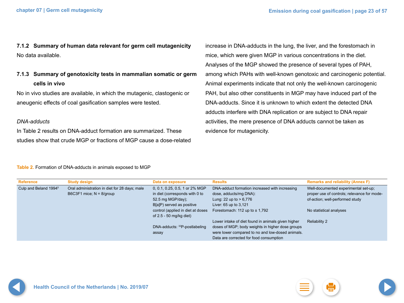**7.1.2 Summary of human data relevant for germ cell mutagenicity** No data available.

**7.1.3 Summary of genotoxicity tests in mammalian somatic or germ cells in vivo**

No in vivo studies are available, in which the mutagenic, clastogenic or aneugenic effects of coal gasification samples were tested.

### *DNA-adducts*

In Table 2 results on DNA-adduct formation are summarized. These studies show that crude MGP or fractions of MGP cause a dose-related increase in DNA-adducts in the lung, the liver, and the forestomach in mice, which were given MGP in various concentrations in the diet. Analyses of the MGP showed the presence of several types of PAH, among which PAHs with well-known genotoxic and carcinogenic potential. Animal experiments indicate that not only the well-known carcinogenic PAH, but also other constituents in MGP may have induced part of the DNA-adducts. Since it is unknown to which extent the detected DNA adducts interfere with DNA replication or are subject to DNA repair activities, the mere presence of DNA adducts cannot be taken as evidence for mutagenicity.

**Table 2.** Formation of DNA-adducts in animals exposed to MGP

| <b>Reference</b>                  | <b>Study design</b>                           | Data on exposure                  | <b>Results</b>                                     | <b>Remarks and reliability (Annex F)</b>    |
|-----------------------------------|-----------------------------------------------|-----------------------------------|----------------------------------------------------|---------------------------------------------|
| Culp and Beland 1994 <sup>5</sup> | Oral administration in diet for 28 days; male | 0, 0.1, 0.25, 0.5, 1 or 2% MGP    | DNA-adduct formation increased with increasing     | Well-documented experimental set-up;        |
|                                   | B6C3F1 mice; $N = 8$ /group                   | in diet (corresponds with 0 to    | dose, adducts/mg DNA):                             | proper use of controls; relevance for mode- |
|                                   |                                               | 52.5 mg MGP/day);                 | Lung: 22 up to $> 6,776$                           | of-action; well-performed study             |
|                                   |                                               | B[a]P) served as positive         | Liver: 65 up to 3,121                              |                                             |
|                                   |                                               | control (applied in diet at doses | Forestomach: 112 up to $\pm$ 1,792                 | No statistical analyses                     |
|                                   |                                               | of 2.5 - 50 mg/kg diet)           |                                                    |                                             |
|                                   |                                               |                                   | Lower intake of diet found in animals given higher | <b>Reliability 2</b>                        |
|                                   |                                               | DNA-adducts: 32P-postlabeling     | doses of MGP; body weights in higher dose groups   |                                             |
|                                   |                                               | assay                             | were lower compared to no and low-dosed animals.   |                                             |
|                                   |                                               |                                   | Data are corrected for food consumption            |                                             |

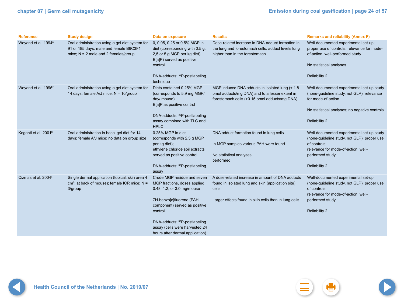| <b>Reference</b>                 | <b>Study design</b>                                                                                                                 | Data on exposure                                                                                                                                                                                                                                                        | <b>Results</b>                                                                                                                                                           | <b>Remarks and reliability (Annex F)</b>                                                                                                                                                   |
|----------------------------------|-------------------------------------------------------------------------------------------------------------------------------------|-------------------------------------------------------------------------------------------------------------------------------------------------------------------------------------------------------------------------------------------------------------------------|--------------------------------------------------------------------------------------------------------------------------------------------------------------------------|--------------------------------------------------------------------------------------------------------------------------------------------------------------------------------------------|
| Weyand et al. 1994 <sup>6</sup>  | Oral administration using a gel diet system for<br>91 or 185 days; male and female B6C3F1<br>mice; $N = 2$ male and 2 females/group | 0, 0.05, 0.25 or 0.5% MGP in<br>diet (corresponding with 0.5 g,<br>2,5 or 5 g MGP per kg diet);<br>B[a]P) served as positive<br>control<br>DNA-adducts: 32P-postlabeling<br>technique                                                                                   | Dose-related increase in DNA-adduct formation in<br>the lung and forestomach cells; adduct levels lung<br>higher than in the forestomach.                                | Well-documented experimental set-up;<br>proper use of controls; relevance for mode-<br>of-action; well-performed study<br>No statistical analyses<br><b>Reliability 2</b>                  |
| Weyand et al. 19957              | Oral administration using a gel diet system for<br>14 days; female A/J mice; N = 10/group                                           | Diets contained 0.25% MGP<br>(corresponds to 5.9 mg MGP/<br>day/ mouse);<br>B[a]P as positive control<br>DNA-adducts: 32P-postlabeling<br>assay combined with TLC and<br><b>HPLC</b>                                                                                    | MGP induced DNA adducts in isolated lung (± 1.8<br>pmol adducts/mg DNA) and to a lesser extent in<br>forestomach cells (±0.15 pmol adducts/mg DNA)                       | Well-documented experimental set-up study<br>(none-guideline study, not GLP); relevance<br>for mode-of-action<br>No statistical analyses; no negative controls<br><b>Reliability 2</b>     |
| Koganti et al. 2001 <sup>8</sup> | Oral administration in basal gel diet for 14<br>days; female A/J mice; no data on group size                                        | 0.25% MGP in diet<br>(corresponds with 2.5 g MGP<br>per kg diet);<br>ethylene chloride soil extracts<br>served as positive control<br>DNA-adducts: 32P-postlabeling<br>assay                                                                                            | DNA adduct formation found in lung cells<br>In MGP samples various PAH were found.<br>No statistical analyses<br>performed                                               | Well-documented experimental set-up study<br>(none-guideline study, not GLP); proper use<br>of controls;<br>relevance for mode-of-action; well-<br>performed study<br><b>Reliability 2</b> |
| Cizmas et al. 2004 <sup>4</sup>  | Single dermal application (topical; skin area 4<br>cm <sup>2</sup> ; at back of mouse); female ICR mice; $N =$<br>3/group           | Crude MGP residue and seven<br>MGP fractions, doses applied<br>0.48, 1.2, or 3.0 mg/mouse<br>7H-benzo[c]fluorene (PAH<br>component) served as positive<br>control<br>DNA-adducts: 32P-postlabeling<br>assay (cells were harvested 24<br>hours after dermal application) | A dose-related increase in amount of DNA adducts<br>found in isolated lung and skin (application site)<br>cells<br>Larger effects found in skin cells than in lung cells | Well-documented experimental set-up<br>(none-guideline study, not GLP); proper use<br>of controls;<br>relevance for mode-of-action; well-<br>performed study<br><b>Reliability 2</b>       |

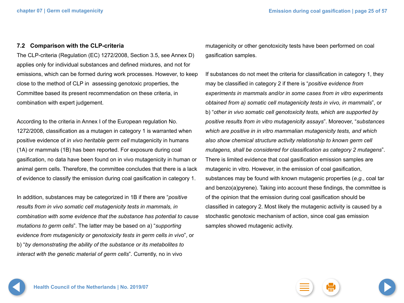### <span id="page-24-0"></span>**7.2 Comparison with the CLP-criteria**

The CLP-criteria (Regulation (EC) 1272/2008, Section 3.5, see Annex D) applies only for individual substances and defined mixtures, and not for emissions, which can be formed during work processes. However, to keep close to the method of CLP in assessing genotoxic properties, the Committee based its present recommendation on these criteria, in combination with expert judgement.

According to the criteria in Annex I of the European regulation No. 1272/2008, classification as a mutagen in category 1 is warranted when positive evidence of *in vivo heritable germ cell* mutagenicity in humans (1A) or mammals (1B) has been reported. For exposure during coal gasification, no data have been found on in vivo mutagenicity in human or animal germ cells. Therefore, the committee concludes that there is a lack of evidence to classify the emission during coal gasification in category 1.

In addition, substances may be categorized in 1B if there are "*positive results from in vivo somatic cell mutagenicity tests in mammals, in combination with some evidence that the substance has potential to cause mutations to germ cells*". The latter may be based on a) "*supporting evidence from mutagenicity or genotoxicity tests in germ cells in vivo*", or b) "*by demonstrating the ability of the substance or its metabolites to interact with the genetic material of germ cells*". Currently, no in vivo

mutagenicity or other genotoxicity tests have been performed on coal gasification samples.

If substances do not meet the criteria for classification in category 1, they may be classified in category 2 if there is "*positive evidence from experiments in mammals and/or in some cases from in vitro experiments obtained from a) somatic cell mutagenicity tests in vivo, in mammals*", or b) "*other in vivo somatic cell genotoxicity tests, which are supported by positive results from in vitro mutagenicity assays*". Moreover, "*substances which are positive in in vitro mammalian mutagenicity tests, and which also show chemical structure activity relationship to known germ cell mutagens, shall be considered for classification as category 2 mutagens*". There is limited evidence that coal gasification emission samples are mutagenic in vitro. However, in the emission of coal gasification, substances may be found with known mutagenic properties (*e.g.*, coal tar and benzo(a)pyrene). Taking into account these findings, the committee is of the opinion that the emission during coal gasification should be classified in category 2. Most likely the mutagenic activity is caused by a stochastic genotoxic mechanism of action, since coal gas emission samples showed mutagenic activity.

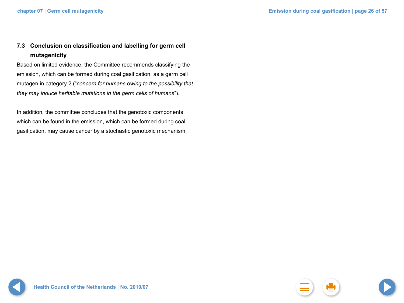## <span id="page-25-0"></span>**7.3 Conclusion on classification and labelling for germ cell mutagenicity**

Based on limited evidence, the Committee recommends classifying the emission, which can be formed during coal gasification, as a germ cell mutagen in category 2 ("*concern for humans owing to the possibility that they may induce heritable mutations in the germ cells of humans*").

In addition, the committee concludes that the genotoxic components which can be found in the emission, which can be formed during coal gasification, may cause cancer by a stochastic genotoxic mechanism.

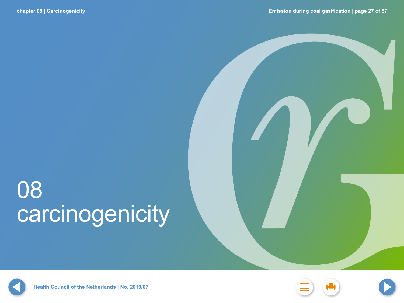# 08 carcinogenicity







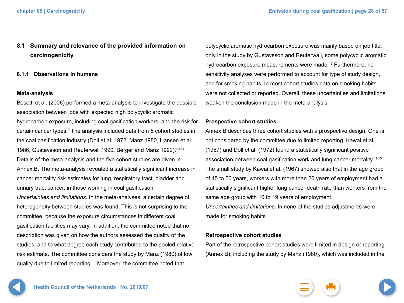### <span id="page-27-0"></span>**8.1 Summary and relevance of the provided information on carcinogenicity**

### **8.1.1 Observations in humans**

### **Meta-analysis**

Bosetti et al. (2006) performed a meta-analysis to investigate the possible association between jobs with expected high polycyclic aromatic hydrocarbon exposure, including coal gasification workers, and the risk for certain cancer types.<sup>9</sup> The analysis included data from 5 cohort studies in the coal gasification industry (Doll et al. 1972, Manz 1980, Hansen et al. 1986, Gustavsson and Reuterwall 1990, Berger and Manz 1992).<sup>10-14</sup> Details of the meta-analysis and the five cohort studies are given in Annex B. The meta-analysis revealed a statistically significant increase in cancer mortality risk estimates for lung, respiratory tract, bladder and urinary tract cancer, in those working in coal gasification. *Uncertainties and limitations*. In the meta-analyses, a certain degree of heterogeneity between studies was found. This is not surprising to the committee, because the exposure circumstances in different coal gasification facilities may vary. In addition, the committee noted that no description was given on how the authors assessed the quality of the studies, and to what degree each study contributed to the pooled relative risk estimate. The committee considers the study by Manz (1980) of low quality due to limited reporting.14 Moreover, the committee noted that

polycyclic aromatic hydrocarbon exposure was mainly based on job title; only in the study by Gustavsson and Reuterwall, some polycyclic aromatic hydrocarbon exposure measurements were made.12 Furthermore, no sensitivity analyses were performed to account for type of study design, and for smoking habits. In most cohort studies data on smoking habits were not collected or reported. Overall, these uncertainties and limitations weaken the conclusion made in the meta-analysis.

### **Prospective cohort studies**

Annex B describes three cohort studies with a prospective design. One is not considered by the committee due to limited reporting. Kawai et al. (1967) and Doll et al. (1972) found a statistically significant positive association between coal gasification work and lung cancer mortality.<sup>11,15</sup> The small study by Kawai et al. (1967) showed also that in the age group of 45 to 56 years, workers with more than 20 years of employment had a statistically significant higher lung cancer death rate than workers from the same age group with 10 to 19 years of employment. *Uncertainties and limitations*. In none of the studies adjustments were

made for smoking habits.

### **Retrospective cohort studies**

Part of the retrospective cohort studies were limited in design or reporting (Annex B), including the study by Manz (1980), which was included in the



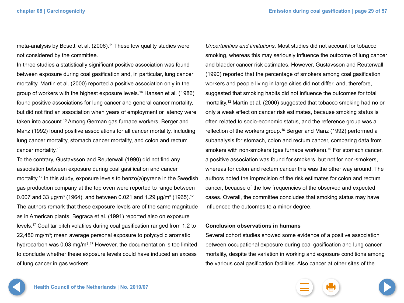meta-analysis by Bosetti et al. (2006).<sup>14</sup> These low quality studies were not considered by the committee.

In three studies a statistically significant positive association was found between exposure during coal gasification and, in particular, lung cancer mortality. Martin et al. (2000) reported a positive association only in the group of workers with the highest exposure levels.16 Hansen et al. (1986) found positive associations for lung cancer and general cancer mortality, but did not find an association when years of employment or latency were taken into account.13 Among German gas furnace workers, Berger and Manz (1992) found positive associations for all cancer mortality, including lung cancer mortality, stomach cancer mortality, and colon and rectum cancer mortality.10

To the contrary, Gustavsson and Reuterwall (1990) did not find any association between exposure during coal gasification and cancer mortality.12 In this study, exposure levels to benzo(a)pyrene in the Swedish gas production company at the top oven were reported to range between 0.007 and 33  $\mu$ g/m $^3$  (1964), and between 0.021 and 1.29  $\mu$ g/m $^3$  (1965). $^{12}$ The authors remark that these exposure levels are of the same magnitude as in American plants. Begraca et al. (1991) reported also on exposure levels.17 Coal tar pitch volatiles during coal gasification ranged from 1.2 to 22,480 mg/m<sup>3</sup>; mean average personal exposure to polycyclic aromatic hydrocarbon was 0.03 mg/m<sup>3</sup>.<sup>17</sup> However, the documentation is too limited to conclude whether these exposure levels could have induced an excess of lung cancer in gas workers.

*Uncertainties and limitations*. Most studies did not account for tobacco smoking, whereas this may seriously influence the outcome of lung cancer and bladder cancer risk estimates. However, Gustavsson and Reuterwall (1990) reported that the percentage of smokers among coal gasification workers and people living in large cities did not differ, and, therefore, suggested that smoking habits did not influence the outcomes for total mortality.12 Martin et al. (2000) suggested that tobacco smoking had no or only a weak effect on cancer risk estimates, because smoking status is often related to socio-economic status, and the reference group was a reflection of the workers group.<sup>16</sup> Berger and Manz (1992) performed a subanalysis for stomach, colon and rectum cancer, comparing data from smokers with non-smokers (gas furnace workers).10 For stomach cancer, a positive association was found for smokers, but not for non-smokers, whereas for colon and rectum cancer this was the other way around. The authors noted the imprecision of the risk estimates for colon and rectum cancer, because of the low frequencies of the observed and expected cases. Overall, the committee concludes that smoking status may have influenced the outcomes to a minor degree.

### **Conclusion observations in humans**

Several cohort studies showed some evidence of a positive association between occupational exposure during coal gasification and lung cancer mortality, despite the variation in working and exposure conditions among the various coal gasification facilities. Also cancer at other sites of the



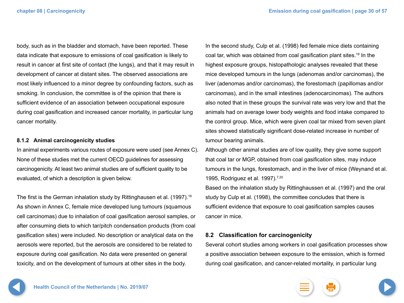<span id="page-29-0"></span>body, such as in the bladder and stomach, have been reported. These data indicate that exposure to emissions of coal gasification is likely to result in cancer at first site of contact (the lungs), and that it may result in development of cancer at distant sites. The observed associations are most likely influenced to a minor degree by confounding factors, such as smoking. In conclusion, the committee is of the opinion that there is sufficient evidence of an association between occupational exposure during coal gasification and increased cancer mortality, in particular lung cancer mortality.

### **8.1.2 Animal carcinogenicity studies**

In animal experiments various routes of exposure were used (see Annex C). None of these studies met the current OECD guidelines for assessing carcinogenicity. At least two animal studies are of sufficient quality to be evaluated, of which a description is given below.

The first is the German inhalation study by Rittinghausen et al. (1997).<sup>18</sup> As shown in Annex C, female mice developed lung tumours (squamous cell carcinomas) due to inhalation of coal gasification aerosol samples, or after consuming diets to which tar/pitch condensation products (from coal gasification sites) were included. No description or analytical data on the aerosols were reported, but the aerosols are considered to be related to exposure during coal gasification. No data were presented on general toxicity, and on the development of tumours at other sites in the body.

In the second study, Culp et al. (1998) fed female mice diets containing coal tar, which was obtained from coal gasification plant sites.19 In the highest exposure groups, histopathologic analyses revealed that these mice developed tumours in the lungs (adenomas and/or carcinomas), the liver (adenomas and/or carcinomas), the forestomach (papillomas and/or carcinomas), and in the small intestines (adenocarcinomas). The authors also noted that in these groups the survival rate was very low and that the animals had on average lower body weights and food intake compared to the control group. Mice, which were given coal tar mixed from seven plant sites showed statistically significant dose-related increase in number of tumour bearing animals.

Although other animal studies are of low quality, they give some support that coal tar or MGP, obtained from coal gasification sites, may induce tumours in the lungs, forestomach, and in the liver of mice (Weynand et al. 1995, Rodriguez et al. 1997).<sup>7,20</sup>

Based on the inhalation study by Rittinghaussen et al. (1997) and the oral study by Culp et al. (1998), the committee concludes that there is sufficient evidence that exposure to coal gasification samples causes cancer in mice.

### **8.2 Classification for carcinogenicity**

Several cohort studies among workers in coal gasification processes show a positive association between exposure to the emission, which is formed during coal gasification, and cancer-related mortality, in particular lung

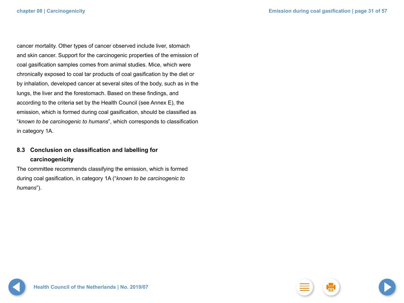<span id="page-30-0"></span>cancer mortality. Other types of cancer observed include liver, stomach and skin cancer. Support for the carcinogenic properties of the emission of coal gasification samples comes from animal studies. Mice, which were chronically exposed to coal tar products of coal gasification by the diet or by inhalation, developed cancer at several sites of the body, such as in the lungs, the liver and the forestomach. Based on these findings, and according to the criteria set by the Health Council (see Annex E), the emission, which is formed during coal gasification, should be classified as "*known to be carcinogenic to humans*", which corresponds to classification in category 1A.

### **8.3 Conclusion on classification and labelling for carcinogenicity**

The committee recommends classifying the emission, which is formed during coal gasification, in category 1A ("*known to be carcinogenic to humans*").

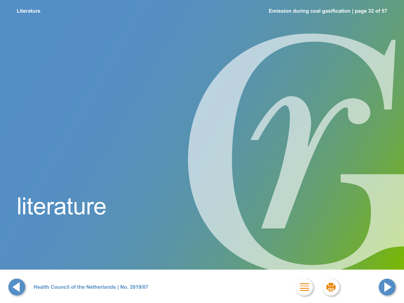# <span id="page-31-0"></span>literature







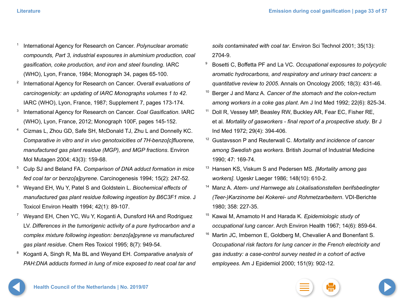- <sup>1</sup> International Agency for Research on Cancer. *Polynuclear aromatic compounds, Part 3, industrial exposures in aluminium production, coal gasification, coke production, and iron and steel founding*. IARC (WHO), Lyon, France, 1984; Monograph 34, pages 65-100.
- <sup>2</sup> International Agency for Research on Cancer. *Overall evaluations of carcinogenicity: an updating of IARC Monographs volumes 1 to 42*. IARC (WHO), Lyon, France, 1987; Supplement 7, pages 173-174.
- <sup>3</sup> International Agency for Research on Cancer. *Coal Gasification*. IARC (WHO), Lyon, France, 2012; Monograph 100F, pages 145-152.
- <sup>4</sup> Cizmas L, Zhou GD, Safe SH, McDonald TJ, Zhu L and Donnelly KC. *Comparative in vitro and in vivo genotoxicities of 7H-benzo[c]fluorene, manufactured gas plant residue (MGP), and MGP fractions*. Environ Mol Mutagen 2004; 43(3): 159-68.
- <sup>5</sup> Culp SJ and Beland FA. *Comparison of DNA adduct formation in mice fed coal tar or benzo[a]pyrene*. Carcinogenesis 1994; 15(2): 247-52.
- <sup>6</sup> Weyand EH, Wu Y, Patel S and Goldstein L. *Biochemical effects of manufactured gas plant residue following ingestion by B6C3F1 mice*. J Toxicol Environ Health 1994; 42(1): 89-107.
- <sup>7</sup> Weyand EH, Chen YC, Wu Y, Koganti A, Dunsford HA and Rodriguez LV. *Differences in the tumorigenic activity of a pure hydrocarbon and a complex mixture following ingestion: benzo[a]pyrene vs manufactured gas plant residue*. Chem Res Toxicol 1995; 8(7): 949-54.
- <sup>8</sup> Koganti A, Singh R, Ma BL and Weyand EH. *Comparative analysis of PAH:DNA adducts formed in lung of mice exposed to neat coal tar and*

*soils contaminated with coal tar*. Environ Sci Technol 2001; 35(13): 2704-9.

- <sup>9</sup> Bosetti C, Boffetta PF and La VC. *Occupational exposures to polycyclic aromatic hydrocarbons, and respiratory and urinary tract cancers: a quantitative review to 2005*. Annals on Oncology 2005; 18(3): 431-46.
- <sup>10</sup> Berger J and Manz A. *Cancer of the stomach and the colon-rectum among workers in a coke gas plant*. Am J Ind Med 1992; 22(6): 825-34.
- <sup>11</sup> Doll R, Vessey MP, Beasley RW, Buckley AR, Fear EC, Fisher RE, et al. *Mortality of gasworkers - final report of a prospective study*. Br J Ind Med 1972; 29(4): 394-406.
- <sup>12</sup> Gustavsson P and Reuterwall C. *Mortality and incidence of cancer among Swedish gas workers*. British Journal of Industrial Medicine 1990; 47: 169-74.
- <sup>13</sup> Hansen KS, Viskum S and Pedersen MS. *[Mortality among gas workers]*. Ugeskr Laeger 1986; 148(10): 610-2.
- <sup>14</sup> Manz A. *Atem- und Harnwege als Lokalisationstellen berifsbedingter (Teer-)Karzinome bei Kokerei- und Rohmetzarbeitern*. VDI-Berichte 1980; 358: 227-35.
- <sup>15</sup> Kawai M, Amamoto H and Harada K. *Epidemiologic study of occupational lung cancer*. Arch Environ Health 1967; 14(6): 859-64.
- <sup>16</sup> Martin JC, Imbernon E, Goldberg M, Chevalier A and Bonenfant S. *Occupational risk factors for lung cancer in the French electricity and gas industry: a case-control survey nested in a cohort of active employees*. Am J Epidemiol 2000; 151(9): 902-12.



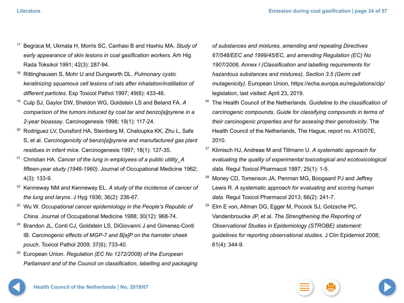- <sup>17</sup> Begraca M, Ukmata H, Morris SC, Canhasi B and Haxhiu MA. *Study of early appearance of skin lesions in coal gasification workers*. Arh Hig Rada Toksikol 1991; 42(3): 287-94.
- <sup>18</sup> Rittinghausen S, Mohr U and Dungworth DL. *Pulmonary cystic keratinizing squamous cell lesions of rats after inhalation/instillation of different particles*. Exp Toxicol Pathol 1997; 49(6): 433-46.
- <sup>19</sup> Culp SJ, Gaylor DW, Sheldon WG, Goldstein LS and Beland FA. *A comparison of the tumors induced by coal tar and benzo[a]pyrene in a 2-year bioassay*. Carcinogenesis 1998; 19(1): 117-24.
- <sup>20</sup> Rodriguez LV, Dunsford HA, Steinberg M, Chaloupka KK, Zhu L, Safe S, et al. *Carcinogenicity of benzo[a]pyrene and manufactured gas plant residues in infant mice*. Carcinogenesis 1997; 18(1): 127-35.
- <sup>21</sup> Christian HA. *Cancer of the lung in employees of a public utility A fifteen-year study (1946-1960)*. Journal of Occupational Medicine 1962; 4(3): 133-9.
- <sup>22</sup> Kenneway NM and Kenneway EL. *A study of the incidence of cancer of the lung and larynx*. J Hyg 1936; 36(2): 236-67.
- <sup>23</sup> Wu W. *Occupational cancer epidemiology in the People's Republic of China*. Journal of Occupational Medicine 1988; 30(12): 968-74.
- <sup>24</sup> Brandon JL, Conti CJ, Goldstein LS, DiGiovanni J and Gimenez-Conti IB. *Carcinogenic effects of MGP-7 and B[a]P on the hamster cheek pouch*. Toxicol Pathol 2009; 37(6): 733-40.
- <sup>25</sup> European Union. *Regulation (EC No 1272/2008) of the European Parliamant and of the Council on classification, labelling and packaging*

*of substances and mixtures, amending and repealing Directives 67/548/EEC and 1999/45/EC, and amending Regulation (EC) No 1907/2006, Annex I (Classification and labelling requirements for hazardous substances and mixtures), Section 3.5 (Germ cell mutagenicity)*. European Union, https://echa.europa.eu/regulations/clp/ legislation, last visited: April 23, 2019.

- <sup>26</sup> The Health Council of the Netherlands. *Guideline to the classification of carcinogenic compounds. Guide for classifying compounds in terms of their carcinogenic properties and for assesing their genotoxicity*. The Health Council of the Netherlands, The Hague, report no. A10/07E, 2010.
- <sup>27</sup> Klimisch HJ, Andreae M and Tillmann U. *A systematic approach for evaluating the quality of experimental toxicological and ecotoxicological data*. Regul Toxicol Pharmacol 1997; 25(1): 1-5.
- <sup>28</sup> Money CD, Tomenson JA, Penman MG, Boogaard PJ and Jeffrey Lewis R. *A systematic approach for evaluating and scoring human data*. Regul Toxicol Pharmacol 2013; 66(2): 241-7.
- <sup>29</sup> Elm E von, Altman DG, Egger M, Pocock SJ, Gotzsche PC, Vandenbroucke JP, et al. *The Strengthening the Reporting of Observational Studies in Epidemiology (STROBE) statement: guidelines for reporting observational studies*. J Clin Epidemiol 2008; 61(4): 344-9.

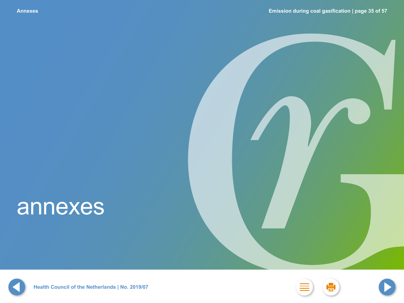# <span id="page-34-0"></span>annexes





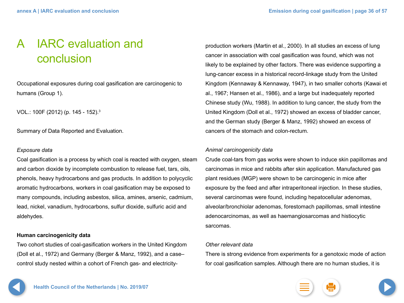## <span id="page-35-0"></span>A IARC evaluation and conclusion

Occupational exposures during coal gasification are carcinogenic to humans (Group 1).

VOL.: 100F (2012) (p. 145 - 152).3

Summary of Data Reported and Evaluation.

### *Exposure data*

Coal gasification is a process by which coal is reacted with oxygen, steam and carbon dioxide by incomplete combustion to release fuel, tars, oils, phenols, heavy hydrocarbons and gas products. In addition to polycyclic aromatic hydrocarbons, workers in coal gasification may be exposed to many compounds, including asbestos, silica, amines, arsenic, cadmium, lead, nickel, vanadium, hydrocarbons, sulfur dioxide, sulfuric acid and aldehydes.

### **Human carcinogenicity data**

Two cohort studies of coal-gasification workers in the United Kingdom (Doll et al., 1972) and Germany (Berger & Manz, 1992), and a case– control study nested within a cohort of French gas- and electricity-

production workers (Martin et al., 2000). In all studies an excess of lung cancer in association with coal gasification was found, which was not likely to be explained by other factors. There was evidence supporting a lung-cancer excess in a historical record-linkage study from the United Kingdom (Kennaway & Kennaway, 1947), in two smaller cohorts (Kawai et al., 1967; Hansen et al., 1986), and a large but inadequately reported Chinese study (Wu, 1988). In addition to lung cancer, the study from the United Kingdom (Doll et al., 1972) showed an excess of bladder cancer, and the German study (Berger & Manz, 1992) showed an excess of cancers of the stomach and colon-rectum.

### *Animal carcinogenicity data*

Crude coal-tars from gas works were shown to induce skin papillomas and carcinomas in mice and rabbits after skin application. Manufactured gas plant residues (MGP) were shown to be carcinogenic in mice after exposure by the feed and after intraperitoneal injection. In these studies, several carcinomas were found, including hepatocellular adenomas, alveolar/bronchiolar adenomas, forestomach papillomas, small intestine adenocarcinomas, as well as haemangiosarcomas and histiocytic sarcomas.

### *Other relevant data*

There is strong evidence from experiments for a genotoxic mode of action for coal gasification samples. Although there are no human studies, it is

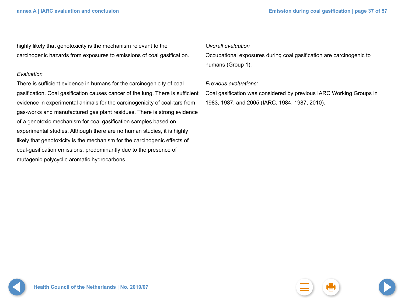highly likely that genotoxicity is the mechanism relevant to the carcinogenic hazards from exposures to emissions of coal gasification.

### *Evaluation*

There is sufficient evidence in humans for the carcinogenicity of coal gasification. Coal gasification causes cancer of the lung. There is sufficient evidence in experimental animals for the carcinogenicity of coal-tars from gas-works and manufactured gas plant residues. There is strong evidence of a genotoxic mechanism for coal gasification samples based on experimental studies. Although there are no human studies, it is highly likely that genotoxicity is the mechanism for the carcinogenic effects of coal-gasification emissions, predominantly due to the presence of mutagenic polycyclic aromatic hydrocarbons.

### *Overall evaluation*

Occupational exposures during coal gasification are carcinogenic to humans (Group 1).

### *Previous evaluations:*

Coal gasification was considered by previous IARC Working Groups in 1983, 1987, and 2005 (IARC, 1984, 1987, 2010).

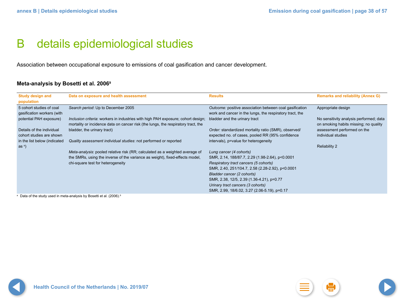## <span id="page-37-0"></span>B details epidemiological studies

Association between occupational exposure to emissions of coal gasification and cancer development.

### **Meta-analysis by Bosetti et al. 20069**

| <b>Study design and</b><br>population                  | Data on exposure and health assessment                                                                                                                                | <b>Results</b>                                                                                                      | <b>Remarks and reliability (Annex G)</b>                                         |
|--------------------------------------------------------|-----------------------------------------------------------------------------------------------------------------------------------------------------------------------|---------------------------------------------------------------------------------------------------------------------|----------------------------------------------------------------------------------|
| 5 cohort studies of coal<br>gasification workers (with | Search period: Up to December 2005                                                                                                                                    | Outcome: positive association between coal gasification<br>work and cancer in the lungs, the respiratory tract, the | Appropriate design                                                               |
| potential PAH exposure)                                | Inclusion criteria: workers in industries with high PAH exposure; cohort design;<br>mortality or incidence data on cancer risk (the lungs, the respiratory tract, the | bladder and the urinary tract                                                                                       | No sensitivity analysis performed; data<br>on smoking habits missing; no quality |
| Details of the individual<br>cohort studies are shown  | bladder, the urinary tract)                                                                                                                                           | Order: standardized mortality ratio (SMR), observed/<br>expected no. of cases, pooled RR (95% confidence            | assessment performed on the<br>individual studies                                |
| in the list below (indicated<br>as $a)$                | Quality assessment individual studies: not performed or reported                                                                                                      | intervals), p=value for heterogeneity                                                                               | <b>Reliability 2</b>                                                             |
|                                                        | Meta-analysis: pooled relative risk (RR; calculated as a weighted average of                                                                                          | Lung cancer (4 cohorts)                                                                                             |                                                                                  |
|                                                        | the SMRs, using the inverse of the variance as weight), fixed-effects model,                                                                                          | SMR, 2.14, 188/87.7, 2.29 (1.98-2.64), p<0.0001                                                                     |                                                                                  |
|                                                        | chi-square test for heterogeneity                                                                                                                                     | Respiratory tract cancers (5 cohorts)                                                                               |                                                                                  |
|                                                        |                                                                                                                                                                       | SMR, 2.40, 251/104.7, 2.58 (2.28-2.92), p<0.0001                                                                    |                                                                                  |
|                                                        |                                                                                                                                                                       | Bladder cancer (2 cohorts)                                                                                          |                                                                                  |
|                                                        |                                                                                                                                                                       | SMR, 2.38, 12/5, 2.39 (1.36-4.21), p=0.77                                                                           |                                                                                  |
|                                                        |                                                                                                                                                                       | Urinary tract cancers (3 cohorts)                                                                                   |                                                                                  |
|                                                        |                                                                                                                                                                       | SMR, 2.99, 18/6.02, 3.27 (2.06-5.19), p=0.17                                                                        |                                                                                  |

<sup>a</sup> Data of the study used in meta-analysis by Bosetti et al. (2006).<sup>9</sup>

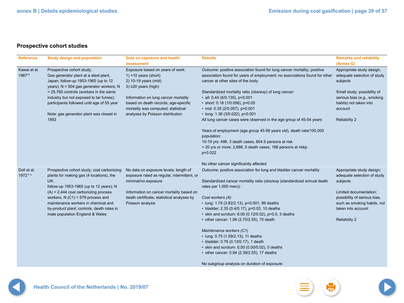### **Prospective cohort studies**

| <b>Reference</b>                    | <b>Study design and population</b>                                                                                                                                                                                                                                                                                                               | Data on exposure and health                                                                                                                                                                                               | <b>Results</b>                                                                                                                                                                                                                                                                                                                                                                                                                                                                                                                                                                                                         | <b>Remarks and reliability</b>                                                                                                                                                                              |
|-------------------------------------|--------------------------------------------------------------------------------------------------------------------------------------------------------------------------------------------------------------------------------------------------------------------------------------------------------------------------------------------------|---------------------------------------------------------------------------------------------------------------------------------------------------------------------------------------------------------------------------|------------------------------------------------------------------------------------------------------------------------------------------------------------------------------------------------------------------------------------------------------------------------------------------------------------------------------------------------------------------------------------------------------------------------------------------------------------------------------------------------------------------------------------------------------------------------------------------------------------------------|-------------------------------------------------------------------------------------------------------------------------------------------------------------------------------------------------------------|
| Kawai et al.<br>196715              | Prospective cohort study;<br>Gas generator plant at a steel plant,<br>Japan; follow-up 1953-1965 (up to 12<br>years); N = 504 gas generator workers, N                                                                                                                                                                                           | assessment<br>Exposure based on years of work:<br>$1$ < 10 years (short)<br>2) 10-19 years (mid)<br>$3)$ $\geq$ 20 years (high)                                                                                           | Outcome: positive association found for lung cancer mortality; positive<br>association found for years of employment; no associations found for other<br>cancer at other sites of the body                                                                                                                                                                                                                                                                                                                                                                                                                             | (Annex G)<br>Appropriate study design,<br>adequate selection of study<br>subjects                                                                                                                           |
|                                     | = 25,760 controls (workers in the same<br>industry but not exposed to tar fumes);<br>participants followed until age of 55 year<br>Note: gas generator plant was closed in<br>1953                                                                                                                                                               | Information on lung cancer mortality<br>based on death records; age-specific<br>mortality was computed; statistical<br>analyses by Poisson distribution                                                                   | Standardized mortality ratio (obs/exp) of lung cancer:<br>$\cdot$ all: 0.44 (6/0.135), p<0.001<br>• short: 0.18 (1/0.056), $p=0.05$<br>• mid: $0.35$ (2/0.057), p=0.001<br>· long: 1.36 (3/0.022), p<0.001<br>All lung cancer cases were observed in the age group of 45-54 years                                                                                                                                                                                                                                                                                                                                      | Small study; possibility of<br>serious bias (e.g., smoking<br>habits) not taken into<br>account<br><b>Reliability 2</b>                                                                                     |
|                                     |                                                                                                                                                                                                                                                                                                                                                  |                                                                                                                                                                                                                           | Years of employment (age group 45-56 years old), death rate/100,000<br>population:<br>10-19 yrs: 496, 3 death cases, 604.5 persons at risk<br>> 20 yrs or more: 2,688, 5 death cases, 186 persons at riskp<br>$p=0.022$<br>No other cancer significantly affected                                                                                                                                                                                                                                                                                                                                                      |                                                                                                                                                                                                             |
| Doll et al.<br>1972 <sup>11 a</sup> | Prospective cohort study; coal carbonizing<br>plants for making gas (4 locations), the<br>UK;<br>follow-up 1953-1965 (up to 12 years); N<br>$(A) = 2,444$ coal carbonizing process<br>workers, $N(G1) = 579$ process and<br>maintenance workers in chemical and<br>by-product plant; controls, death rates in<br>male population England & Wales | No data on exposure levels; length of<br>exposure rated as regular, intermittent, or<br>minimal/no exposure<br>Information on cancer mortality based on<br>death certificate; statistical analyses by<br>Poisson analysis | Outcome: positive association for lung and bladder cancer mortality<br>Standardized cancer mortality ratio (obs/exp (standardized annual death<br>rates per 1,000 men)):<br>Coal workers (A)<br>• lung: 1.79 (3.82/2.13), p=0.001, 99 deaths<br>• bladder: 2.35 (0.4/0.17), p=0.03, 10 deaths<br>• skin and scrotum: 6.00 (0.12/0.02), p=0.0, 3 deaths<br>• other cancer: 1.06 (2.70/2.55), 70 death<br>Maintenance workers (C1)<br>• lung: 0.75 (1.59/2.13), 11 deaths<br>• bladder: 0.76 (0.13/0.17), 1 death<br>$\cdot$ skin and scrotum: 0,00 (0.00/0.02), 0 deaths<br>• other cancer: 0.94 (2.39/2.55), 17 deaths | Appropriate study design;<br>adequate selection of study<br>subjects<br>Limited documentation;<br>possibility of serious bias,<br>such as smoking habits, not<br>taken into account<br><b>Reliability 2</b> |
|                                     |                                                                                                                                                                                                                                                                                                                                                  |                                                                                                                                                                                                                           | No subgroup analysis on duration of exposure                                                                                                                                                                                                                                                                                                                                                                                                                                                                                                                                                                           |                                                                                                                                                                                                             |





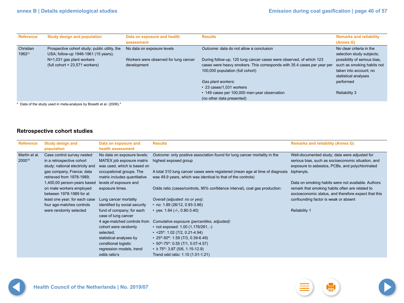| <b>Reference</b>                | <b>Study design and population</b>                                                                                                                     | Data on exposure and health<br>assessment                                          | <b>Results</b>                                                                                                                                                                                                                                      | <b>Remarks and reliability</b><br>(Annex G)                                                                                                                                        |
|---------------------------------|--------------------------------------------------------------------------------------------------------------------------------------------------------|------------------------------------------------------------------------------------|-----------------------------------------------------------------------------------------------------------------------------------------------------------------------------------------------------------------------------------------------------|------------------------------------------------------------------------------------------------------------------------------------------------------------------------------------|
| Christian<br>1962 <sup>21</sup> | Prospective cohort study; public utility, the<br>USA; follow-up 1946-1961 (15 years);<br>N=1,031 gas plant workers<br>$(tull cohort = 23,571 workers)$ | No data on exposure levels<br>Workers were observed for lung cancer<br>development | Outcome: data do not allow a conclusion<br>During follow-up, 125 lung cancer cases were observed, of which 123<br>cases were heavy smokers. This corresponds with 35.4 cases per year per<br>100,000 population (full cohort)<br>Gas plant workers: | No clear criteria in the<br>selection study subjects;<br>possibility of serious bias,<br>such as smoking habits not<br>taken into account; no<br>statistical analyses<br>performed |
|                                 |                                                                                                                                                        |                                                                                    | • 23 cases/1,031 workers<br>• 149 cases per 100,000 man-year observation<br>(no other data presented)                                                                                                                                               | <b>Reliability 3</b>                                                                                                                                                               |

 $^{\circ}$  Data of the study used in meta-analysis by Bosetti et al. (2006).<sup>9</sup>

### **Retrospective cohort studies**

| <b>Reference</b>        | <b>Study design and</b><br>population                                                      | Data on exposure and<br>health assessment                                               | <b>Results</b>                                                                                                                                          | <b>Remarks and reliability (Annex G)</b>                                                                                                                      |
|-------------------------|--------------------------------------------------------------------------------------------|-----------------------------------------------------------------------------------------|---------------------------------------------------------------------------------------------------------------------------------------------------------|---------------------------------------------------------------------------------------------------------------------------------------------------------------|
| Martin et al.<br>200016 | Case control survey nested<br>in a retrospective cohort<br>study; national electricity and | No data on exposure levels;<br>MATEX job exposure matrix<br>was used, which is based on | Outcome: only positive association found for lung cancer mortality in the<br>highest exposed group                                                      | Well-documented study; data were adjusted for<br>serious bias, such as socioeconomic situation, and<br>exposure to asbestos, PCBs, and polychlorinated        |
|                         | gas company, France; data<br>retrieved from 1978-1989;                                     | occupational groups. The<br>matrix includes quantitative                                | A total 310 lung cancer cases were registered (mean age at time of diagnosis<br>was 49.9 years, which was identical to that of the controls)            | biphenyls.                                                                                                                                                    |
|                         | 1,400,00 person-years based<br>on male workers employed<br>between 1978-1989 for at        | levels of exposure and<br>exposure times.                                               | Odds ratio (cases/controls, 95% confidence interval), coal gas production:                                                                              | Data on smoking habits were not available. Authors<br>remark that smoking habits often are related to<br>socioeconomic status, and therefore expect that this |
|                         | least one year; for each case<br>four age-matches controls                                 | Lung cancer mortality<br>identified by social security                                  | Overall (adjusted: no or yes):<br>• no: $1.89$ (26/12, 0.93-3.86)                                                                                       | confounding factor is weak or absent                                                                                                                          |
|                         | were randomly selected                                                                     | fund of company; for each<br>case of lung cancer                                        | • yes: $1.64$ (-/-, $0.80-3.40$ )                                                                                                                       | <b>Reliability 1</b>                                                                                                                                          |
|                         |                                                                                            | 4 age-matched controls from                                                             | Cumulative exposure (percentiles, adjusted):                                                                                                            |                                                                                                                                                               |
|                         |                                                                                            | cohort were randomly<br>selected;                                                       | • not exposed: $1.00$ $(1,176/291, -)$<br>$\cdot$ <25 <sup>th</sup> : 1.02 (7/2, 0.21-4.94)                                                             |                                                                                                                                                               |
|                         |                                                                                            | statistical analyses by                                                                 | • $25$ <sup>th</sup> -50 <sup>th</sup> : 1.59 (7/3, 0.39-6.49)                                                                                          |                                                                                                                                                               |
|                         |                                                                                            | conditional logistic<br>regression models, trend<br>odds ratio's                        | • $50^{\text{th}}$ -75 <sup>th</sup> : 0.55 (7/1, 0.07-4.57)<br>$\cdot$ ≥ 75 <sup>th</sup> : 3.87 (5/6, 1.15-12.9)<br>Trend odd ratio: 1.10 (1.01-1.21) |                                                                                                                                                               |
|                         |                                                                                            |                                                                                         |                                                                                                                                                         |                                                                                                                                                               |



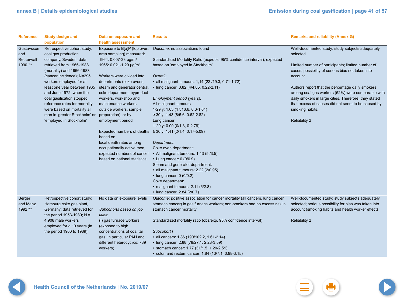Ð.

| <b>Reference</b>                | <b>Study design and</b>                                                                   | Data on exposure and                                                                                              | <b>Results</b>                                                                                                                                                                            | <b>Remarks and reliability (Annex G)</b>                                                                  |
|---------------------------------|-------------------------------------------------------------------------------------------|-------------------------------------------------------------------------------------------------------------------|-------------------------------------------------------------------------------------------------------------------------------------------------------------------------------------------|-----------------------------------------------------------------------------------------------------------|
| Gustavsson<br>and<br>Reuterwall | population<br>Retrospective cohort study;<br>coal gas production<br>company, Sweden; data | health assessment<br>Exposure to B[a]P (top oven,<br>area sampling) measured:<br>1964: 0.007-33 µg/m <sup>3</sup> | Outcome: no associations found<br>Standardized Mortality Ratio (exp/obs, 95% confidence interval), expected                                                                               | Well-documented study; study subjects adequately<br>selected                                              |
| 1990 <sup>12 a</sup>            | retrieved from 1966-1988<br>(mortality) and 1966-1983                                     | 1965: 0.021-1.29 µg/m <sup>3</sup>                                                                                | based on 'employed in Stockholm'                                                                                                                                                          | Limited number of participants; limited number of<br>cases; possibility of serious bias not taken into    |
|                                 | (cancer incidence); N=295<br>workers employed for at                                      | Workers were divided into<br>departments (coke ovens,                                                             | Overall:<br>• all malignant tumours: 1,14 (22 /19.3, 0.71-1.72)                                                                                                                           | account                                                                                                   |
|                                 | least one year between 1965<br>and June 1972, when the                                    | steam and generator central,<br>coke department, byproduct                                                        | • lung cancer: 0.82 (4/4.85, 0.22-2.11)                                                                                                                                                   | Authors report that the percentage daily smokers<br>among coal gas workers (52%) were comparable with     |
|                                 | coal gasification stopped;                                                                | workers, workshop and                                                                                             | Employment period (years):                                                                                                                                                                | daily smokers in large cities. Therefore, they stated                                                     |
|                                 | reference rates for mortality                                                             | maintenance workers,                                                                                              | All malignant tumours                                                                                                                                                                     | that excess of causes did not seem to be caused by                                                        |
|                                 | were based on mortality all<br>man in 'greater Stockholm' or                              | outside workers, sample<br>preparation), or by                                                                    | 1-29 y: 1.03 (17/16.6, 0.6-1.64)<br>$\geq$ 30 y: 1.43 (8/5.6, 0.62-2.82)                                                                                                                  | smoking habits.                                                                                           |
|                                 | 'employed in Stockholm'                                                                   | employment period                                                                                                 | Lung cancer<br>1-29 y: 0.00 (0/1.3, 0-2.79)                                                                                                                                               | <b>Reliability 2</b>                                                                                      |
|                                 |                                                                                           | based on                                                                                                          | Expected numbers of deaths $\geq 30$ y: 1.41 (2/1.4, 0.17-5.09)                                                                                                                           |                                                                                                           |
|                                 |                                                                                           | local death rates among                                                                                           | Department:                                                                                                                                                                               |                                                                                                           |
|                                 |                                                                                           | occupationally active men,                                                                                        | Coke oven department:                                                                                                                                                                     |                                                                                                           |
|                                 |                                                                                           | expected numbers of cancer<br>based on national statistics                                                        | • All malignant tumours: 1.43 (5/3.5)<br>• Lung cancer: 0 (0/0.9)                                                                                                                         |                                                                                                           |
|                                 |                                                                                           |                                                                                                                   | Steam and generator department:                                                                                                                                                           |                                                                                                           |
|                                 |                                                                                           |                                                                                                                   | • all malignant tumours: 2.22 (2/0.95)                                                                                                                                                    |                                                                                                           |
|                                 |                                                                                           |                                                                                                                   | $\cdot$ lung cancer: 0 (0/0.2)                                                                                                                                                            |                                                                                                           |
|                                 |                                                                                           |                                                                                                                   | Coke department:                                                                                                                                                                          |                                                                                                           |
|                                 |                                                                                           |                                                                                                                   | · malignant tumours: 2.11 (6/2.8)                                                                                                                                                         |                                                                                                           |
| <b>Berger</b><br>and Manz       | Retrospective cohort study;<br>Hamburg coke gas plant,                                    | No data on exposure levels                                                                                        | • lung cancer: 2.84 (2/0.7)<br>Outcome: positive association for cancer mortality (all cancers, lung cancer,<br>stomach cancer) in gas furnace workers; non-smokers had no excess risk in | Well-documented study; study subjects adequately<br>selected; serious possibility for bias was taken into |
| 1992 <sup>10 a</sup>            | Germany; data retrieved for<br>the period 1953-1989; $N =$                                | Subcohorts based on job<br>titles:                                                                                | stomach cancer mortality                                                                                                                                                                  | account (smoking habits and health worker effect)                                                         |
|                                 | 4,908 male workers<br>employed for $\geq 10$ years (in                                    | (I) gas furnace workers<br>(exposed to high                                                                       | Standardized mortality ratio (obs/exp, 95% confidence interval)                                                                                                                           | <b>Reliability 2</b>                                                                                      |
|                                 | the period 1900 to 1989)                                                                  | concentrations of coal tar                                                                                        | Subcohort I                                                                                                                                                                               |                                                                                                           |
|                                 |                                                                                           | gas, in particular PAH and                                                                                        | • all cancers: 1.86 (190/102.2, 1.61-2.14)                                                                                                                                                |                                                                                                           |
|                                 |                                                                                           | different heterocyclics; 789                                                                                      | • lung cancer: 2.88 (78/27.1, 2.28-3.59)                                                                                                                                                  |                                                                                                           |
|                                 |                                                                                           | workers)                                                                                                          | • stomach cancer: 1.77 (31/1.5, 1.20-2.51)                                                                                                                                                |                                                                                                           |
|                                 |                                                                                           |                                                                                                                   | • colon and rectum cancer: 1.84 (13/7.1, 0.98-3.15)                                                                                                                                       |                                                                                                           |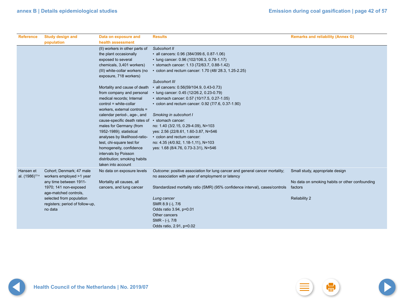| <b>Reference</b>           | <b>Study design and</b><br>population | Data on exposure and<br>health assessment | <b>Results</b>                                                               | <b>Remarks and reliability (Annex G)</b>       |
|----------------------------|---------------------------------------|-------------------------------------------|------------------------------------------------------------------------------|------------------------------------------------|
|                            |                                       | (II) workers in other parts of            | Subcohort II                                                                 |                                                |
|                            |                                       | the plant occasionally                    | • all cancers: 0.96 (384/399.6, 0.87-1.06)                                   |                                                |
|                            |                                       | exposed to several                        | • lung cancer: 0.96 (102/106.3, 0.78-1.17)                                   |                                                |
|                            |                                       | chemicals, 3,401 workers)                 | • stomach cancer: 1.13 (72/63.7, 0.88-1.42)                                  |                                                |
|                            |                                       | (III) white-collar workers (no            | • colon and rectum cancer: 1.70 (48/ 28.3, 1.25-2.25)                        |                                                |
|                            |                                       | exposure, 718 workers)                    |                                                                              |                                                |
|                            |                                       |                                           | Subcohort III                                                                |                                                |
|                            |                                       | Mortality and cause of death              | · all cancers: 0.56(59/104.9, 0.43-0.73)                                     |                                                |
|                            |                                       | from company and personal                 | • lung cancer: 0.45 (12/26.2, 0.23-0.79)                                     |                                                |
|                            |                                       | medical records; Internal                 | • stomach cancer: 0.57 (10/17.5, 0.27-1.05)                                  |                                                |
|                            |                                       | control = white-collar                    | • colon and rectum cancer: 0.92 (7/7.6, 0.37-1.90)                           |                                                |
|                            |                                       | workers, external controls =              |                                                                              |                                                |
|                            |                                       | calendar period-, age-, and               | Smoking in subcohort I                                                       |                                                |
|                            |                                       | cause-specific death rates of             | · stomach cancer:                                                            |                                                |
|                            |                                       | males for Germany (from                   | no: 1.40 (3/2.15, 0.29-4.09), N=103                                          |                                                |
|                            |                                       | 1952-1989); statistical                   | yes: 2.56 (22/8.61, 1.60-3.87, N=546                                         |                                                |
|                            |                                       | analyses by likelihood-ratio-             | • colon and rectum cancer:                                                   |                                                |
|                            |                                       | test, chi-square test for                 | no: 4.35 (4/0.92, 1.18-1,11), N=103                                          |                                                |
|                            |                                       | homogeneity, confidence                   | yes: 1.68 (8/4.76, 0.73-3.31), N=546                                         |                                                |
|                            |                                       | intervals by Poisson                      |                                                                              |                                                |
|                            |                                       | distribution; smoking habits              |                                                                              |                                                |
|                            |                                       | taken into account                        |                                                                              |                                                |
| Hansen et                  | Cohort; Denmark; 47 male              | No data on exposure levels                | Outcome: positive association for lung cancer and general cancer mortality;  | Small study, appropriate design                |
| al. (1986) <sup>13 a</sup> | workers employed >1 year              |                                           | no association with year of employment or latency                            |                                                |
|                            | any time between 1911-                | Mortality all causes, all                 |                                                                              | No data on smoking habits or other confounding |
|                            | 1970; 141 non-exposed                 | cancers, and lung cancer                  | Standardized mortality ratio (SMR) (95% confidence interval), cases/controls | factors                                        |
|                            | age-matched controls,                 |                                           |                                                                              |                                                |
|                            | selected from population              |                                           | Lung cancer                                                                  | <b>Reliability 2</b>                           |
|                            | registers; period of follow-up,       |                                           | SMR 8.9 (-), 7/6                                                             |                                                |
|                            | no data                               |                                           | Odds ratio 3.94, p=0.01                                                      |                                                |
|                            |                                       |                                           | Other cancers                                                                |                                                |
|                            |                                       |                                           | SMR - (-), 7/8                                                               |                                                |
|                            |                                       |                                           | Odds ratio, 2.91, p=0.02                                                     |                                                |

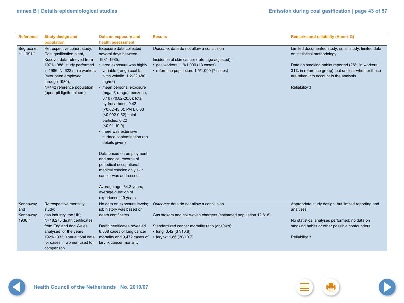| <b>Reference</b>                     | <b>Study design and</b><br>population                                                              | Data on exposure and<br>health assessment                                                                                                                                                                                                                                                      | <b>Results</b>                                                                                              | <b>Remarks and reliability (Annex G)</b>                                                                                                         |
|--------------------------------------|----------------------------------------------------------------------------------------------------|------------------------------------------------------------------------------------------------------------------------------------------------------------------------------------------------------------------------------------------------------------------------------------------------|-------------------------------------------------------------------------------------------------------------|--------------------------------------------------------------------------------------------------------------------------------------------------|
| Begraca et<br>al. 1991 <sup>17</sup> | Retrospective cohort study;<br>Coal gasification plant,<br>Kosovo; data retrieved from             | Exposure data collected<br>several days between<br>1981-1985:                                                                                                                                                                                                                                  | Outcome: data do not allow a conclusion<br>Incidence of skin cancer (rate, age adjusted):                   | Limited documented study; small study; limited data<br>on statistical methodology                                                                |
|                                      | 1971-1986; study performed<br>in 1986; N=622 male workers<br>(ever been employed<br>through 1980); | • area exposure was highly<br>variable (range coal tar<br>pitch volatile, 1.2-22,480<br>$mg/m^3$ )                                                                                                                                                                                             | • gas workers: 1.9/1,000 (13 cases)<br>• reference population: 1.5/1,000 (7 cases)                          | Data on smoking habits reported (28% in workers,<br>31% in reference group), but unclear whether these<br>are taken into account in the analysis |
|                                      | N=442 reference population<br>(open-pit lignite miners)                                            | • mean personal exposure<br>(mg/m <sup>3</sup> , range): benzene,<br>$0.16$ (< $0.02-20.0$ ); total<br>hydrocarbons, 0.42<br>$($ < 0.02-43.0); PAH, 0.03<br>(<0.002-0.62); total<br>particles, 0.22<br>$($ <0.01-10.0)<br>• there was extensive<br>surface contamination (no<br>details given) |                                                                                                             | <b>Reliability 3</b>                                                                                                                             |
|                                      |                                                                                                    | Data based on employment<br>and medical records of<br>periodical occupational<br>medical checks; only skin<br>cancer was addressed;                                                                                                                                                            |                                                                                                             |                                                                                                                                                  |
|                                      |                                                                                                    | Average age: 34.2 years;<br>average duration of<br>experience: 10 years                                                                                                                                                                                                                        |                                                                                                             |                                                                                                                                                  |
| Kennaway<br>and<br>Kennaway          | Retrospective mortality<br>study;<br>gas industry, the UK;                                         | No data on exposure levels;<br>job history was based on<br>death certificates                                                                                                                                                                                                                  | Outcome: data do not allow a conclusion<br>Gas stokers and coke-oven chargers (estimated population 12,818) | Appropriate study design, but limited reporting and<br>analyses                                                                                  |
| 1936 <sup>22</sup>                   | N=18,275 death certificates<br>from England and Wales<br>analysed for the years                    | Death certificates revealed<br>8,808 cases of lung cancer                                                                                                                                                                                                                                      | Standardized cancer mortality ratio (obs/exp):<br>• lung: $3,42$ (37/10.8)                                  | No statistical analyses performed; no data on<br>smoking habits or other possible confounders                                                    |
|                                      | 1921-1932; annual total data<br>for cases in women used for<br>comparison                          | mortality and 9,472 cases of<br>larynx cancer mortality                                                                                                                                                                                                                                        | · larynx: 1,86 (20/10.7)                                                                                    | <b>Reliability 3</b>                                                                                                                             |

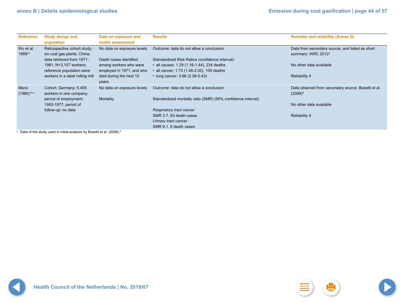| <b>Reference</b>        | <b>Study design and</b><br>population                                                   | Data on exposure and<br>health assessment            | <b>Results</b>                                                                             | <b>Remarks and reliability (Annex G)</b>                                           |
|-------------------------|-----------------------------------------------------------------------------------------|------------------------------------------------------|--------------------------------------------------------------------------------------------|------------------------------------------------------------------------------------|
| Wu et al.<br>198823     | Retrospective cohort study;<br>six coal gas plants, China;<br>data retrieved from 1971- | No data on exposure levels<br>Death cases identified | Outcome: data do not allow a conclusion<br>Standardized Risk Ratios (confidence interval): | Data from secondary source, and listed as short<br>summary: IARC 2012 <sup>3</sup> |
|                         | 1981; N=3,107 workers;<br>reference population were                                     | among workers who were<br>employed in 1971, and who  | • all causes: 1.29 (1.16-1.44), 234 deaths<br>• all cancer: 1.73 (1.46-2.02), 109 deaths   | No other data available                                                            |
|                         | workers in a steel rolling mill                                                         | died during the next 10<br>years                     | • lung cancer: 3.66 (2.36-5.43)                                                            | <b>Reliability 4</b>                                                               |
| Manz<br>$(1980)^{14}$ a | Cohort; Germany; 5.405<br>workers in one company;                                       | No data on exposure levels                           | Outcome: data do not allow a conclusion                                                    | Data obtained from secondary source: Bosetti et al.<br>$(2006)^9$                  |
|                         | period of employment:<br>1953-1977; period of                                           | Mortality                                            | Standardized mortality ratio (SMR) (95% confidence interval)                               | No other data available                                                            |
|                         | follow-up: no data                                                                      |                                                      | <b>Respiratory tract cancer</b><br>SMR 3.7, 63 death cases                                 | <b>Reliability 4</b>                                                               |
|                         |                                                                                         |                                                      | Urinary tract cancer<br>SMR 6.1, 6 death cases                                             |                                                                                    |

<sup>a</sup> Data of the study used in meta-analysis by Bosetti et al. (2006).<sup>9</sup>

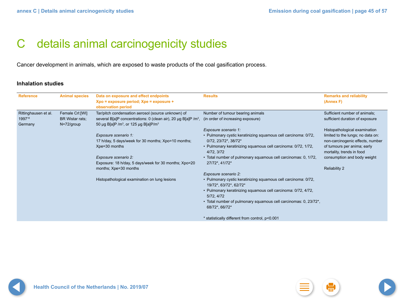## <span id="page-44-0"></span>C details animal carcinogenicity studies

Cancer development in animals, which are exposed to waste products of the coal gasification process.

### **Inhalation studies**

| <b>Reference</b>                          | <b>Animal species</b>                            | Data on exposure and effect endpoints<br>Xpo = exposure period; Xpe = exposure +<br>observation period                                                                                           | <b>Results</b>                                                                                                                                                                                                                                                | <b>Remarks and reliability</b><br>(Annex F)                                                                                                                        |
|-------------------------------------------|--------------------------------------------------|--------------------------------------------------------------------------------------------------------------------------------------------------------------------------------------------------|---------------------------------------------------------------------------------------------------------------------------------------------------------------------------------------------------------------------------------------------------------------|--------------------------------------------------------------------------------------------------------------------------------------------------------------------|
| Rittinghausen et al.<br>199718<br>Germany | Female Crl:[WI]<br>BR Wistar rats;<br>N=72/group | Tar/pitch condensation aerosol (source unknown) of<br>several B[a]P concentrations: 0 (clean air), 20 µg B[a]P /m <sup>3</sup> ,<br>50 µg B[a]P /m <sup>3</sup> , or 125 µg B[a]P/m <sup>3</sup> | Number of tumour bearing animals<br>(in order of increasing exposure)                                                                                                                                                                                         | Sufficient number of animals;<br>sufficient duration of exposure                                                                                                   |
|                                           |                                                  | Exposure scenario 1:<br>17 h/day, 5 days/week for 30 months; Xpo=10 months;<br>Xpe=30 months                                                                                                     | Exposure scenario 1:<br>• Pulmonary cystic keratinizing squamous cell carcinoma: 0/72,<br>$0/72$ , $23/72$ <sup>*</sup> , $38/72$ <sup>*</sup><br>• Pulmonary keratinizing squamous cell carcinoma: 0/72, 1/72,<br>4/72, 3/72                                 | Histopathological examination<br>limited to the lungs; no data on:<br>non-carcinogenic effects, number<br>of tumours per anima; early<br>mortality, trends in food |
|                                           |                                                  | Exposure scenario 2:<br>Exposure: 18 h/day, 5 days/week for 30 months; Xpo=20<br>months; Xpe=30 months                                                                                           | • Total number of pulmonary squamous cell carcinomas: 0, 1/72,<br>27/72*, 41/72*<br>Exposure scenario 2:                                                                                                                                                      | consumption and body weight<br><b>Reliability 2</b>                                                                                                                |
|                                           |                                                  | Histopathological examination on lung lesions                                                                                                                                                    | · Pulmonary cystic keratinizing squamous cell carcinoma: 0/72,<br>19/72*, 63/72*, 62/72*<br>• Pulmonary keratinizing squamous cell carcinoma: 0/72, 4/72,<br>5/72, 4/72<br>• Total number of pulmonary squamous cell carcinomas: 0, 23/72*,<br>68/72*, 66/72* |                                                                                                                                                                    |
|                                           |                                                  |                                                                                                                                                                                                  | * statistically different from control, p<0.001                                                                                                                                                                                                               |                                                                                                                                                                    |

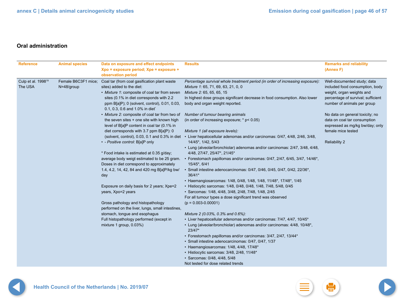### **Oral administration**

| <b>Reference</b>                          | <b>Animal species</b>             | Data on exposure and effect endpoints<br>Xpo = exposure period; Xpe = exposure +<br>observation period                                                                                                                                                     | <b>Results</b>                                                                                                                                                                                                                                                      | <b>Remarks and reliability</b><br>(Annex F)                                                                                                                      |
|-------------------------------------------|-----------------------------------|------------------------------------------------------------------------------------------------------------------------------------------------------------------------------------------------------------------------------------------------------------|---------------------------------------------------------------------------------------------------------------------------------------------------------------------------------------------------------------------------------------------------------------------|------------------------------------------------------------------------------------------------------------------------------------------------------------------|
| Culp et al. 1998 <sup>19</sup><br>The USA | Female B6C3F1 mice;<br>N=48/group | Coal tar (from coal gasification plant waste<br>sites) added to the diet:<br>• Mixture 1: composite of coal tar from seven<br>sites (0.1% in diet corresponds with 2.2<br>ppm B[a]P); 0 (solvent, control), 0.01, 0.03,<br>0.1, 0.3, 0.6 and 1.0% in diet* | Percentage survival whole treatment period (in order of increasing exposure):<br>Mixture 1: 65, 71, 69, 63, 21, 0, 0<br>Mixture 2: 65, 65, 65, 15<br>In highest dose groups significant decrease in food consumption. Also lower<br>body and organ weight reported. | Well-documented study; data<br>included food consumption, body<br>weight, organ weights and<br>percentage of survival; sufficient<br>number of animals per group |
|                                           |                                   | • Mixture 2: composite of coal tar from two of<br>the seven sites + one site with known high<br>level of B[a]P content in coal tar (0.1% in                                                                                                                | Number of tumour bearing animals<br>(in order of increasing exposure; $*$ p< 0.05)                                                                                                                                                                                  | No data on general toxicity; no<br>data on coal tar consumption<br>expressed as mg/kg bw/day; only                                                               |
|                                           |                                   | diet corresponds with 3.7 ppm B[a]P): 0<br>(solvent, control), 0.03, 0.1 and 0.3% in diet                                                                                                                                                                  | Mixture 1 (all exposure levels):<br>• Liver hepatocellular adenomas and/or carcinomas: 0/47, 4/48, 2/46, 3/48,                                                                                                                                                      | female mice tested                                                                                                                                               |
|                                           |                                   | • - Positive control: B[a]P only<br>* Food intake is estimated at 0.35 g/day;                                                                                                                                                                              | 14/45*, 1/42, 5/43<br>• Lung (alveolar/bronchiolar) adenomas and/or carcinomas: 2/47, 3/48, 4/48,<br>4/48, 27/47, 25/47*, 21/45*                                                                                                                                    | <b>Reliability 2</b>                                                                                                                                             |
|                                           |                                   | average body weigt estimated to be 25 gram.<br>Doses in diet correspond to approximately                                                                                                                                                                   | • Forestomach papillomas and/or carcinomas: 0/47, 2/47, 6/45, 3/47, 14/46*,<br>15/45*, 6/41                                                                                                                                                                         |                                                                                                                                                                  |
|                                           |                                   | 1.4, 4.2, 14, 42, 84 and 420 mg B[a]P/kg bw/<br>day                                                                                                                                                                                                        | · Small intestine adenocarcinomas: 0/47, 0/46, 0/45, 0/47, 0/42, 22/36*,<br>36/41*<br>• Haemangiosarcomas: 1/48, 0/48, 1/48, 1/48, 11/48*, 17/48*, 1/45                                                                                                             |                                                                                                                                                                  |
|                                           |                                   | Exposure on daily basis for 2 years; Xpe=2<br>years, Xpo=2 years                                                                                                                                                                                           | · Histiocytic sarcomas: 1/48, 0/48, 0/48, 1/48, 7/48, 5/48, 0/45<br>· Sarcomas: 1/48, 4/48, 3/48, 2/48, 7/48, 1/48, 2/45<br>For all tumour types a dose significant trend was observed                                                                              |                                                                                                                                                                  |
|                                           |                                   | Gross pathology and histopathology<br>performed on the liver, lungs, small intestines,                                                                                                                                                                     | $(p = 0.003 - 0.00001)$                                                                                                                                                                                                                                             |                                                                                                                                                                  |
|                                           |                                   | stomach, tongue and esophagus<br>Full histopathology performed (except in<br>mixture 1 group, 0.03%)                                                                                                                                                       | Mixture 2 (0.03%, 0.3% and 0.6%):<br>• Liver hepatocellular adenomas and/or carcinomas: 7/47, 4/47, 10/45*<br>• Lung (alveolar/bronchiolar) adenomas and/or carcinomas: 4/48, 10/48*,<br>23/47*                                                                     |                                                                                                                                                                  |
|                                           |                                   |                                                                                                                                                                                                                                                            | • Forestomach papillomas and/or carcinomas: 3/47, 2/47, 13/44*<br>· Small intestine adenocarcinomas: 0/47, 0/47, 1/37<br>· Haemangiosarcomas: 1/48, 4/48, 17/48*                                                                                                    |                                                                                                                                                                  |
|                                           |                                   |                                                                                                                                                                                                                                                            | · Histiocytic sarcomas: 3/48, 2/48, 11/48*<br>· Sarcomas: 0/48, 4/48, 5/48<br>Not tested for dose related trends                                                                                                                                                    |                                                                                                                                                                  |

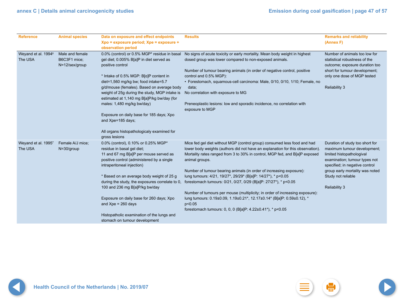| <b>Reference</b>                           | <b>Animal species</b>                             | Data on exposure and effect endpoints<br>Xpo = exposure period; Xpe = exposure +<br>observation period                                                                                                                                                                                                                                                                                                                                     | <b>Results</b>                                                                                                                                                                                                                                                                                                                                                                                                                                                       | <b>Remarks and reliability</b><br>(Annex F)                                                                                                                                              |
|--------------------------------------------|---------------------------------------------------|--------------------------------------------------------------------------------------------------------------------------------------------------------------------------------------------------------------------------------------------------------------------------------------------------------------------------------------------------------------------------------------------------------------------------------------------|----------------------------------------------------------------------------------------------------------------------------------------------------------------------------------------------------------------------------------------------------------------------------------------------------------------------------------------------------------------------------------------------------------------------------------------------------------------------|------------------------------------------------------------------------------------------------------------------------------------------------------------------------------------------|
| Weyand et al. 1994 <sup>6</sup><br>The USA | Male and female<br>B6C3F1 mice;<br>N=12/sex/group | 0.0% (control) or 0.5% MGP* residue in basal<br>gel diet; 0.005% B[a]P in diet served as<br>positive control<br>* Intake of 0.5% MGP: B[a]P content in<br>diet=1,560 mg/kg bw; food intake=5.7<br>g/d/mouse (females). Based on average body<br>weight of 25g during the study, MGP intake is<br>estimated at 1,140 mg B[a]P/kg bw/day (for<br>males: 1,480 mg/kg bw/day)<br>Exposure on daily base for 185 days; Xpo<br>and Xpe=185 days; | No signs of acute toxicity or early mortality. Mean body weight in highest<br>dosed group was lower compared to non-exposed animals.<br>Number of tumour bearing animals (in order of negative control, positive<br>control and 0.5% MGP):<br>· Forestomach, squamous-cell carcinoma: Male, 0/10, 0/10, 1/10; Female, no<br>data;<br>No correlation with exposure to MG<br>Preneoplastic lesions: low and sporadic incidence, no correlation with<br>exposure to MGP | Number of animals too low for<br>statistical robustness of the<br>outcome; exposure duration too<br>short for tumour development;<br>only one dose of MGP tested<br><b>Reliability 3</b> |
|                                            |                                                   | All organs histopathologicaly examined for<br>gross lesions                                                                                                                                                                                                                                                                                                                                                                                |                                                                                                                                                                                                                                                                                                                                                                                                                                                                      |                                                                                                                                                                                          |
| Weyand et al. 19957<br>The USA             | Female A/J mice;<br>N=30/group                    | 0.0% (control), 0.10% or 0.25% MGP*<br>residue in basal gel diet;<br>11 and 67 mg B[a]P per mouse served as<br>positive control (administered by a single<br>intraperitoneal injection)                                                                                                                                                                                                                                                    | Mice fed gel diet without MGP (control group) consumed less food and had<br>lower body weights (authors did not have an explanation for this observation)<br>Mortality rates ranged from 3 to 30% in control, MGP fed, and B[a]P exposed<br>animal groups.                                                                                                                                                                                                           | Duration of study too short for<br>maximum tumour development;<br>limited histopathologival<br>examination; tumour types not<br>specified; in negative control                           |
|                                            |                                                   | * Based on an average body weight of 25 g<br>during the study, the exposures correlate to 0,<br>100 and 236 mg B[a]P/kg bw/day                                                                                                                                                                                                                                                                                                             | Number of tumour bearing animals (in order of increasing exposure):<br>lung tumours: 4/21, 19/27*, 29/29* (B[a]P: 14/27*), * p<0.05<br>forestomach tumours: 0/21, 0/27, 0/29 (B[a]P: 27/27*), * p<0.05                                                                                                                                                                                                                                                               | group early mortality was noted<br>Study not reliable<br><b>Reliability 3</b>                                                                                                            |
|                                            |                                                   | Exposure on daily base for 260 days; Xpo<br>and $Xpe = 260$ days                                                                                                                                                                                                                                                                                                                                                                           | Number of tumours per mouse (multiplicity; in order of increasing exposure):<br>lung tumours: 0.19±0.09, 1.19±0.21*, 12.17±0.14* (B[a]P: 0.59±0.12), *<br>p<0.05<br>forestomach tumours: 0, 0, 0 (B[a]P: 4.22±0.41*), * p<0.05                                                                                                                                                                                                                                       |                                                                                                                                                                                          |
|                                            |                                                   | Histopatholic examination of the lungs and<br>stomach on tumour development                                                                                                                                                                                                                                                                                                                                                                |                                                                                                                                                                                                                                                                                                                                                                                                                                                                      |                                                                                                                                                                                          |

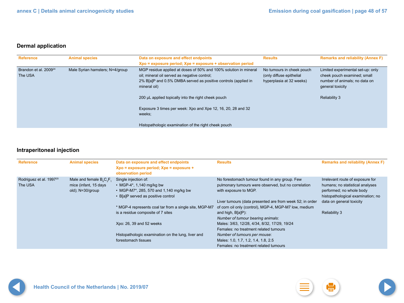### **Dermal application**

| <b>Reference</b>                             | <b>Animal species</b>           | Data on exposure and effect endpoints<br>Xpo = exposure period; Xpe = exposure + observation period                                                                                                                                                                                                                                 | <b>Results</b>                                                                    | <b>Remarks and reliability (Annex F)</b>                                                                                                      |
|----------------------------------------------|---------------------------------|-------------------------------------------------------------------------------------------------------------------------------------------------------------------------------------------------------------------------------------------------------------------------------------------------------------------------------------|-----------------------------------------------------------------------------------|-----------------------------------------------------------------------------------------------------------------------------------------------|
| Brandon et al. 2009 <sup>24</sup><br>The USA | Male Syrian hamsters; N=4/group | MGP residue applied at doses of 50% and 100% solution in mineral<br>oil; mineral oil served as negative control;<br>2% B[a]P and 0.5% DMBA served as positive controls (applied in<br>mineral oil)<br>200 µL applied topically into the right cheek pouch<br>Exposure 3 times per week: Xpo and Xpe 12, 16, 20, 28 and 32<br>weeks; | No tumours in cheek pouch<br>(only diffuse epithelial<br>hyperplasia at 32 weeks) | Limited experimental set-up: only<br>cheek pouch examined; small<br>number of animals; no data on<br>general toxicity<br><b>Reliability 3</b> |
|                                              |                                 | Histopathologic examination of the right cheek pouch                                                                                                                                                                                                                                                                                |                                                                                   |                                                                                                                                               |

## **Intraperitoneal injection**

| <b>Reference</b>                               | <b>Animal species</b>                                                                         | Data on exposure and effect endpoints<br>Xpo = exposure period; Xpe = exposure +<br>observation period                           | <b>Results</b>                                                                                                                                                                            | <b>Remarks and reliability (Annex F)</b>                                                                                                                         |
|------------------------------------------------|-----------------------------------------------------------------------------------------------|----------------------------------------------------------------------------------------------------------------------------------|-------------------------------------------------------------------------------------------------------------------------------------------------------------------------------------------|------------------------------------------------------------------------------------------------------------------------------------------------------------------|
| Rodriguez et al. 1997 <sup>20</sup><br>The USA | Male and female $B_{\alpha}C_{\alpha}F_{\alpha}$<br>mice (infant, 15 days<br>old); N=30/group | Single injection of:<br>• MGP-4*, 1,140 mg/kg bw<br>• MGP-M7*, 285, 570 and 1,140 mg/kg bw<br>• B[a]P served as positive control | No forestomach tumour found in any group. Few<br>pulmonary tumours were observed, but no correlation<br>with exposure to MGP.<br>Liver tumours (data presented are from week 52; in order | Irrelevant route of exposure for<br>humans; no statistical analyses<br>performed; no whole body<br>histopathological examination; no<br>data on general toxicity |
|                                                |                                                                                               | * MGP-4 represents coal tar from a single site, MGP-M7<br>is a residue composite of 7 sites                                      | of corn oil only (control), MGP-4, MGP-M7 low, medium<br>and high, B[a]P):<br>Number of tumour bearing animals:                                                                           | <b>Reliability 3</b>                                                                                                                                             |
|                                                |                                                                                               | Xpo: 26, 39 and 52 weeks                                                                                                         | Males: 3/63, 12/28, 4/34, 8/32, 17/29, 19/24<br>Females: no treatment related tumours                                                                                                     |                                                                                                                                                                  |
|                                                |                                                                                               | Histopathologic examination on the lung, liver and<br>forestomach tissues                                                        | Number of tumours per mouse:<br>Males: 1.0, 1.7, 1.2, 1.4, 1.8, 2.5<br>Females: no treatment related tumours                                                                              |                                                                                                                                                                  |

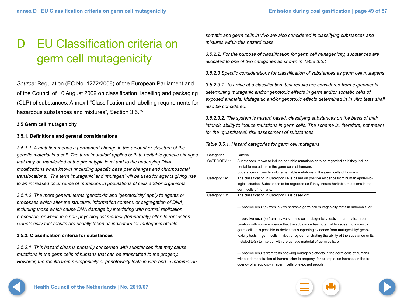## <span id="page-48-0"></span>D EU Classification criteria on germ cell mutagenicity

*Source*: Regulation (EC No. 1272/2008) of the European Parliament and of the Council of 10 August 2009 on classification, labelling and packaging (CLP) of substances, Annex I "Classification and labelling requirements for hazardous substances and mixtures", Section 3.5.25

### **3.5 Germ cell mutagenicity**

### **3.5.1. Definitions and general considerations**

*3.5.1.1. A mutation means a permanent change in the amount or structure of the genetic material in a cell. The term 'mutation' applies both to heritable genetic changes that may be manifested at the phenotypic level and to the underlying DNA modifications when known (including specific base pair changes and chromosomal translocations). The term 'mutagenic' and 'mutagen' will be used for agents giving rise to an increased occurrence of mutations in populations of cells and/or organisms.*

*3.5.1.2. The more general terms 'genotoxic' and 'genotoxicity' apply to agents or processes which alter the structure, information content, or segregation of DNA, including those which cause DNA damage by interfering with normal replication processes, or which in a non-physiological manner (temporarily) alter its replication. Genotoxicity test results are usually taken as indicators for mutagenic effects.*

### **3.5.2. Classification criteria for substances**

*3.5.2.1. This hazard class is primarily concerned with substances that may cause mutations in the germ cells of humans that can be transmitted to the progeny. However, the results from mutagenicity or genotoxicity tests in vitro and in mammalian*  *somatic and germ cells in vivo are also considered in classifying substances and mixtures within this hazard class.*

*3.5.2.2. For the purpose of classification for germ cell mutagenicity, substances are allocated to one of two categories as shown in Table 3.5.1*

*3.5.2.3 Specific considerations for classification of substances as germ cell mutagens*

*3.5.2.3.1. To arrive at a classification, test results are considered from experiments determining mutagenic and/or genotoxic effects in germ and/or somatic cells of exposed animals. Mutagenic and/or genotoxic effects determined in in vitro tests shall also be considered.*

*3.5.2.3.2. The system is hazard based, classifying substances on the basis of their intrinsic ability to induce mutations in germ cells. The scheme is, therefore, not meant for the (quantitative) risk assessment of substances.*

*Table 3.5.1. Hazard categories for germ cell mutagens*

| Categories   | Criteria                                                                                      |
|--------------|-----------------------------------------------------------------------------------------------|
| CATEGORY 1:  | Substances known to induce heritable mutations or to be regarded as if they induce            |
|              | heritable mutations in the germ cells of humans.                                              |
|              | Substances known to induce heritable mutations in the germ cells of humans.                   |
| Category 1A: | The classification in Category 1A is based on positive evidence from human epidemio-          |
|              | logical studies. Substances to be regarded as if they induce heritable mutations in the       |
|              | germ cells of humans.                                                                         |
| Category 1B: | The classification in Category 1B is based on:                                                |
|              |                                                                                               |
|              | - positive result(s) from in vivo heritable germ cell mutagenicity tests in mammals; or       |
|              |                                                                                               |
|              | - positive result(s) from in vivo somatic cell mutagenicity tests in mammals, in com-         |
|              | bination with some evidence that the substance has potential to cause mutations to            |
|              | germ cells. It is possible to derive this supporting evidence from mutagenicity/ geno-        |
|              | toxicity tests in germ cells in vivo, or by demonstrating the ability of the substance or its |
|              | metabolite(s) to interact with the genetic material of germ cells; or                         |
|              |                                                                                               |
|              | - positive results from tests showing mutagenic effects in the germ cells of humans,          |
|              | without demonstration of transmission to progeny; for example, an increase in the fre-        |
|              | quency of aneuploidy in sperm cells of exposed people.                                        |





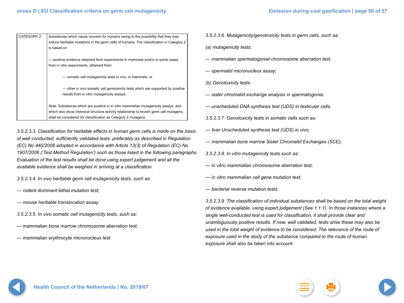| CATEGORY 2: | Substances which cause concern for humans owing to the possibility that they may<br>induce heritable mutations in the germ cells of humans. The classification in Category 2<br>is based on:                                                         |
|-------------|------------------------------------------------------------------------------------------------------------------------------------------------------------------------------------------------------------------------------------------------------|
|             | - positive evidence obtained from experiments in mammals and/or in some cases<br>from in vitro experiments, obtained from:                                                                                                                           |
|             | - somatic cell mutagenicity tests in vivo, in mammals; or                                                                                                                                                                                            |
|             | — other in vivo somatic cell genotoxicity tests which are supported by positive<br>results from in vitro mutagenicity assays.                                                                                                                        |
|             | <i>Note:</i> Substances which are positive in in vitro mammalian mutagenicity assays, and<br>which also show chemical structure activity relationship to known germ cell mutagens,<br>shall be considered for classification as Category 2 mutagens. |

*3.5.2.3.3. Classification for heritable effects in human germ cells is made on the basis of well conducted, sufficiently validated tests, preferably as described in Regulation (EC) No 440/2008 adopted in accordance with Article 13(3) of Regulation (EC) No 1907/2006 ('Test Method Regulation') such as those listed in the following paragraphs. Evaluation of the test results shall be done using expert judgement and all the available evidence shall be weighed in arriving at a classification.*

*3.5.2.3.4. In vivo heritable germ cell mutagenicity tests, such as:*

- *rodent dominant lethal mutation test;*
- *mouse heritable translocation assay.*
- *3.5.2.3.5. In vivo somatic cell mutagenicity tests, such as:*
- *mammalian bone marrow chromosome aberration test;*
- *mammalian erythrocyte micronucleus test.*
- *3.5.2.3.6. Mutagenicity/genotoxicity tests in germ cells, such as: (a) mutagenicity tests:*
- *mammalian spermatogonial chromosome aberration test;*
- *spermatid micronucleus assay;*
- *(b) Genotoxicity tests:*
- *sister chromatid exchange analysis in spermatogonia;*
- *unscheduled DNA synthesis test (UDS) in testicular cells.*
- *3.5.2.3.7. Genotoxicity tests in somatic cells such as:*
- *liver Unscheduled synthesis test (UDS) in vivo;*
- *mammalian bone marrow Sister Chromatid Exchanges (SCE);*
- *3.5.2.3.8. In vitro mutagenicity tests such as:*
- *in vitro mammalian chromosome aberration test;*
- *in vitro mammalian cell gene mutation test;*
- *bacterial reverse mutation tests.*

*3.5.2.3.9. The classification of individual substances shall be based on the total weight of evidence available, using expert judgement (See 1.1.1). In those instances where a single well-conducted test is used for classification, it shall provide clear and unambiguously positive results. If new, well validated, tests arise these may also be used in the total weight of evidence to be considered. The relevance of the route of exposure used in the study of the substance compared to the route of human exposure shall also be taken into account.*

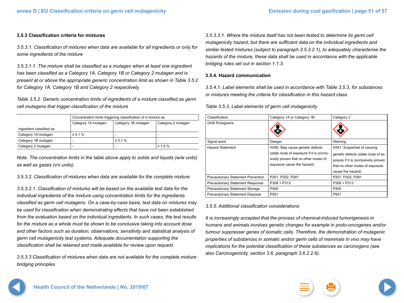#### **3.5.3 Classification criteria for mixtures**

*3.5.3.1. Classification of mixtures when data are available for all ingredients or only for some ingredients of the mixture*

*3.5.3.1.1. The mixture shall be classified as a mutagen when at least one ingredient has been classified as a Category 1A, Category 1B or Category 2 mutagen and is present at or above the appropriate generic concentration limit as shown in Table 3.5.2 for Category 1A, Category 1B and Category 2 respectively.*

*Table 3.5.2. Generic concentration limits of ingredients of a mixture classified as germ cell mutagens that trigger classification of the mixture*

| Concentration limits triggering classification of a mixture as: |                     |                     |                          |
|-----------------------------------------------------------------|---------------------|---------------------|--------------------------|
|                                                                 | Category 1A mutagen | Category 1B mutagen | Category 2 mutagen       |
| Ingredient classified as:                                       |                     |                     |                          |
| Category 1A mutagen                                             | $\geq 0.1 \%$       |                     | -                        |
| Category 1B mutagen                                             | -                   | $\geq 0.1 \%$       | $\overline{\phantom{0}}$ |
| Category 2 mutagen                                              |                     |                     | $\geq 1.0 \%$            |

*Note. The concentration limits in the table above apply to solids and liquids (w/w units) as well as gases (v/v units).*

*3.5.3.2. Classification of mixtures when data are available for the complete mixture*

*3.5.3.2.1. Classification of mixtures will be based on the available test data for the individual ingredients of the mixture using concentration limits for the ingredients classified as germ cell mutagens. On a case-by-case basis, test data on mixtures may be used for classification when demonstrating effects that have not been established from the evaluation based on the individual ingredients. In such cases, the test results for the mixture as a whole must be shown to be conclusive taking into account dose and other factors such as duration, observations, sensitivity and statistical analysis of germ cell mutagenicity test systems. Adequate documentation supporting the classification shall be retained and made available for review upon request.*

*3.5.3.3 Classification of mixtures when data are not available for the complete mixture: bridging principles*

*3.5.3.3.1. Where the mixture itself has not been tested to determine its germ cell mutagenicity hazard, but there are sufficient data on the individual ingredients and similar tested mixtures (subject to paragraph 3.5.3.2.1), to adequately characterise the hazards of the mixture, these data shall be used in accordance with the applicable bridging rules set out in section 1.1.3.*

#### **3.5.4. Hazard communication**

*3.5.4.1. Label elements shall be used in accordance with Table 3.5.3, for substances or mixtures meeting the criteria for classification in this hazard class.*

#### *Table 3.5.3. Label elements of germ cell mutagenicity*

| Classification                            | Category 1A or Category 1B                                                                                                                          | Category 2                                                                                                                                                        |
|-------------------------------------------|-----------------------------------------------------------------------------------------------------------------------------------------------------|-------------------------------------------------------------------------------------------------------------------------------------------------------------------|
| <b>GHS Pictograms</b>                     |                                                                                                                                                     |                                                                                                                                                                   |
| Signal word                               | Danger                                                                                                                                              | Warning                                                                                                                                                           |
| <b>Hazard Statement</b>                   | H340: May cause genetic defects<br>(state route of exposure if it is conclu-<br>sively proven that no other routes of<br>exposure cause the hazard) | H341: Suspected of causing<br>genetic defects (state route of ex-<br>posure if it is conclusively proven<br>that no other routes of exposure<br>cause the hazard) |
| <b>Precautionary Statement Prevention</b> | P201, P202, P281                                                                                                                                    | P201, P202, P281                                                                                                                                                  |
| <b>Precautionary Statement Response</b>   | $P308 + P313$                                                                                                                                       | $P308 + P313$                                                                                                                                                     |
| Precautionary Statement Storage           | P405                                                                                                                                                | P405                                                                                                                                                              |
| Precautionary Statement Disposal          | P <sub>501</sub>                                                                                                                                    | P <sub>501</sub>                                                                                                                                                  |

#### *3.5.5. Additional classification considerations*

*It is increasingly accepted that the process of chemical-induced tumorigenesis in humans and animals involves genetic changes for example in proto-oncogenes and/or tumour suppresser genes of somatic cells. Therefore, the demonstration of mutagenic properties of substances in somatic and/or germ cells of mammals in vivo may have implications for the potential classification of these substances as carcinogens (see also Carcinogenicity, section 3.6, paragraph 3.6.2.2.6).* 



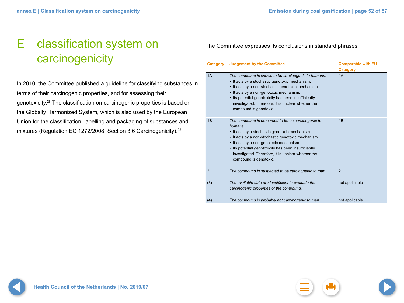## <span id="page-51-0"></span>E classification system on carcinogenicity

In 2010, the Committee published a guideline for classifying substances in terms of their carcinogenic properties, and for assessing their genotoxicity.26 The classification on carcinogenic properties is based on the Globally Harmonized System, which is also used by the European Union for the classification, labelling and packaging of substances and mixtures (Regulation EC 1272/2008, Section 3.6 Carcinogenicity).<sup>25</sup>

The Committee expresses its conclusions in standard phrases:

| Category       | <b>Judgement by the Committee</b>                                                                                                                                                                                                                                                                                                                       | <b>Comparable with EU</b><br><b>Category</b> |
|----------------|---------------------------------------------------------------------------------------------------------------------------------------------------------------------------------------------------------------------------------------------------------------------------------------------------------------------------------------------------------|----------------------------------------------|
| 1A             | The compound is known to be carcinogenic to humans.<br>• It acts by a stochastic genotoxic mechanism.<br>• It acts by a non-stochastic genotoxic mechanism.<br>• It acts by a non-genotoxic mechanism.<br>• Its potential genotoxicity has been insufficiently<br>investigated. Therefore, it is unclear whether the<br>compound is genotoxic.          | 1A                                           |
| 1B             | The compound is presumed to be as carcinogenic to<br>humans.<br>• It acts by a stochastic genotoxic mechanism.<br>• It acts by a non-stochastic genotoxic mechanism.<br>• It acts by a non-genotoxic mechanism.<br>• Its potential genotoxicity has been insufficiently<br>investigated. Therefore, it is unclear whether the<br>compound is genotoxic. | 1B                                           |
| $\overline{2}$ | The compound is suspected to be carcinogenic to man.                                                                                                                                                                                                                                                                                                    | $\overline{2}$                               |
| (3)            | The available data are insufficient to evaluate the<br>carcinogenic properties of the compound.                                                                                                                                                                                                                                                         | not applicable                               |
| (4)            | The compound is probably not carcinogenic to man.                                                                                                                                                                                                                                                                                                       | not applicable                               |

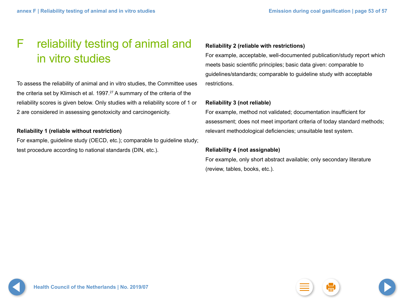## <span id="page-52-0"></span>F reliability testing of animal and in vitro studies

To assess the reliability of animal and in vitro studies, the Committee uses the criteria set by Klimisch et al. 1997.<sup>27</sup> A summary of the criteria of the reliability scores is given below. Only studies with a reliability score of 1 or 2 are considered in assessing genotoxicity and carcinogenicity.

### **Reliability 1 (reliable without restriction)**

For example, guideline study (OECD, etc.); comparable to guideline study; test procedure according to national standards (DIN, etc.).

### **Reliability 2 (reliable with restrictions)**

For example, acceptable, well-documented publication/study report which meets basic scientific principles; basic data given: comparable to guidelines/standards; comparable to guideline study with acceptable restrictions.

### **Reliability 3 (not reliable)**

For example, method not validated; documentation insufficient for assessment; does not meet important criteria of today standard methods; relevant methodological deficiencies; unsuitable test system.

### **Reliability 4 (not assignable)**

For example, only short abstract available; only secondary literature (review, tables, books, etc.).

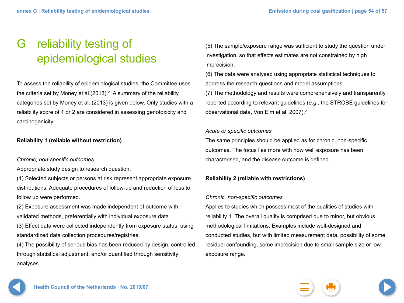## <span id="page-53-0"></span>G reliability testing of epidemiological studies

To assess the reliability of epidemiological studies, the Committee uses the criteria set by Money et al. $(2013).^{28}$  A summary of the reliability categories set by Money et al. (2013) is given below. Only studies with a reliability score of 1 or 2 are considered in assessing genotoxicity and carcinogenicity.

### **Reliability 1 (reliable without restriction)**

### *Chronic, non-specific outcomes*

Appropriate study design to research question.

(1) Selected subjects or persons at risk represent appropriate exposure distributions. Adequate procedures of follow-up and reduction of loss to follow up were performed.

(2) Exposure assessment was made independent of outcome with validated methods, preferentially with individual exposure data.

(3) Effect data were collected independently from exposure status, using standardized data collection procedures/registries.

(4) The possibility of serious bias has been reduced by design, controlled through statistical adjustment, and/or quantified through sensitivity analyses.

(5) The sample/exposure range was sufficient to study the question under investigation, so that effects estimates are not constrained by high imprecision.

(6) The data were analysed using appropriate statistical techniques to address the research questions and model assumptions.

(7) The methodology and results were comprehensively and transparently reported according to relevant guidelines (*e.g*., the STROBE guidelines for observational data, Von Elm et al. 2007).29

### *Acute or specific outcomes*

The same principles should be applied as for chronic, non-specific outcomes. The focus lies more with how well exposure has been characterised, and the disease outcome is defined.

### **Reliability 2 (reliable with restrictions)**

### *Chronic, non-specific outcomes*

Applies to studies which possess most of the qualities of studies with reliability 1. The overall quality is comprised due to minor, but obvious, methodological limitations. Examples include well-designed and conducted studies, but with limited measurement data, possibility of some residual confounding, some imprecision due to small sample size or low exposure range.

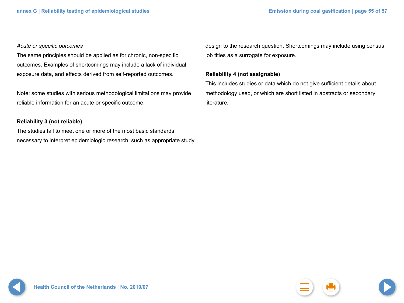### *Acute or specific outcomes*

The same principles should be applied as for chronic, non-specific outcomes. Examples of shortcomings may include a lack of individual exposure data, and effects derived from self-reported outcomes.

Note: some studies with serious methodological limitations may provide reliable information for an acute or specific outcome.

### **Reliability 3 (not reliable)**

The studies fail to meet one or more of the most basic standards necessary to interpret epidemiologic research, such as appropriate study

design to the research question. Shortcomings may include using census job titles as a surrogate for exposure.

### **Reliability 4 (not assignable)**

This includes studies or data which do not give sufficient details about methodology used, or which are short listed in abstracts or secondary literature.

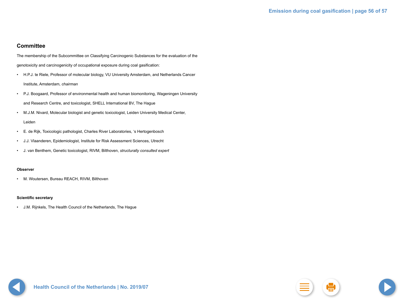### **Committee**

The membership of the Subcommittee on Classifying Carcinogenic Substances for the evaluation of the genotoxicity and carcinogenicity of occupational exposure during coal gasification:

- H.P.J. te Riele, Professor of molecular biology, VU University Amsterdam, and Netherlands Cancer Institute, Amsterdam, *chairman*
- P.J. Boogaard, Professor of environmental health and human biomonitoring, Wageningen University and Research Centre, and toxicologist, SHELL International BV, The Hague
- M.J.M. Nivard, Molecular biologist and genetic toxicologist, Leiden University Medical Center, Leiden
- E. de Rijk, Toxicologic pathologist, Charles River Laboratories, 's Hertogenbosch
- J.J. Vlaanderen, Epidemiologist, Institute for Risk Assessment Sciences, Utrecht
- J. van Benthem, Genetic toxicologist, RIVM, Bilthoven, *structurally consulted expert*

#### **Observer**

• M. Woutersen, Bureau REACH, RIVM, Bilthoven

#### **Scientific secretary**

• J.M. Rijnkels, The Health Council of the Netherlands, The Hague